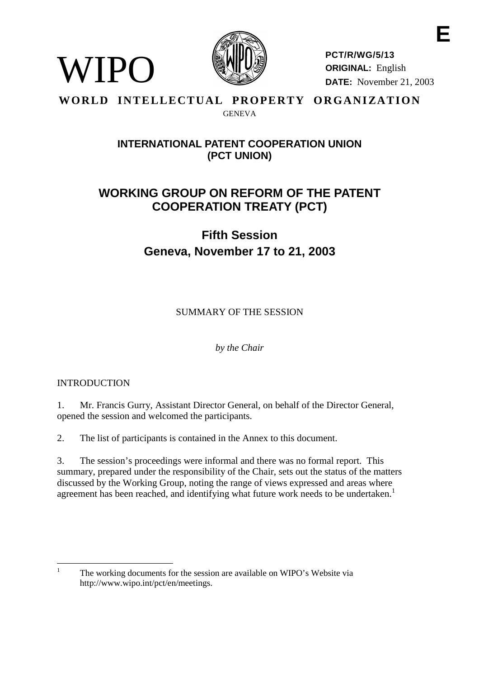

**PCT/R/WG/5/13 ORIGINAL:** English **DATE:** November 21, 2003

## WORLD INTELLECTUAL PROPERTY ORGANIZATION GENEVA

# **INTERNATIONAL PATENT COOPERATION UNION (PCT UNION)**

# **WORKING GROUP ON REFORM OF THE PATENT COOPERATION TREATY (PCT)**

# **Fifth Session Geneva, November 17 to 21, 2003**

SUMMARY OF THE SESSION

*by the Chair*

# INTRODUCTION

WIPO

1. Mr. Francis Gurry, Assistant Director General, on behalf of the Director General, opened the session and welcomed the participants.

2. The list of participants is contained in the Annex to this document.

3. The session's proceedings were informal and there was no formal report. This summary, prepared under the responsibility of the Chair, sets out the status of the matters discussed by the Working Group, noting the range of views expressed and areas where agreement has been reached, and identifying what future work needs to be undertaken.<sup>1</sup>

<sup>&</sup>lt;sup>1</sup> The working documents for the session are available on WIPO's Website via http://www.wipo.int/pct/en/meetings.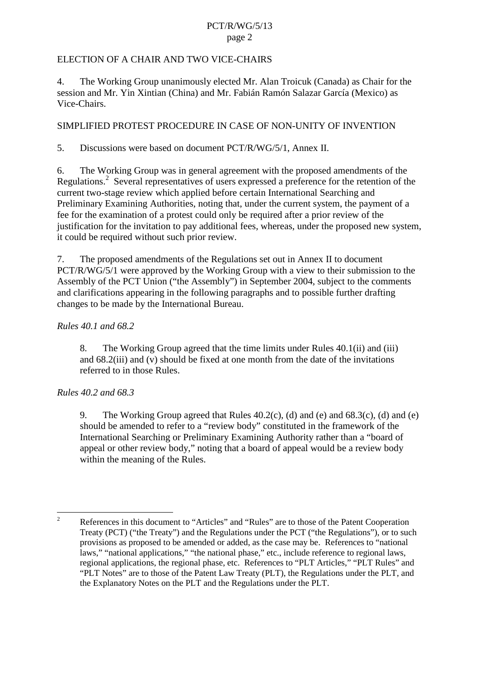## ELECTION OF A CHAIR AND TWO VICE-CHAIRS

4. The Working Group unanimously elected Mr. Alan Troicuk (Canada) as Chair for the session and Mr. Yin Xintian (China) and Mr. Fabián Ramón Salazar García (Mexico) as Vice-Chairs.

## SIMPLIFIED PROTEST PROCEDURE IN CASE OF NON-UNITY OF INVENTION

5. Discussions were based on document PCT/R/WG/5/1, Annex II.

6. The Working Group was in general agreement with the proposed amendments of the Regulations.<sup>2</sup> Several representatives of users expressed a preference for the retention of the current two-stage review which applied before certain International Searching and Preliminary Examining Authorities, noting that, under the current system, the payment of a fee for the examination of a protest could only be required after a prior review of the justification for the invitation to pay additional fees, whereas, under the proposed new system, it could be required without such prior review.

7. The proposed amendments of the Regulations set out in Annex II to document PCT/R/WG/5/1 were approved by the Working Group with a view to their submission to the Assembly of the PCT Union ("the Assembly") in September 2004, subject to the comments and clarifications appearing in the following paragraphs and to possible further drafting changes to be made by the International Bureau.

#### *Rules 40.1 and 68.2*

8. The Working Group agreed that the time limits under Rules 40.1(ii) and (iii) and 68.2(iii) and (v) should be fixed at one month from the date of the invitations referred to in those Rules.

## *Rules 40.2 and 68.3*

9. The Working Group agreed that Rules 40.2(c), (d) and (e) and 68.3(c), (d) and (e) should be amended to refer to a "review body" constituted in the framework of the International Searching or Preliminary Examining Authority rather than a "board of appeal or other review body," noting that a board of appeal would be a review body within the meaning of the Rules.

<sup>&</sup>lt;sup>2</sup> References in this document to "Articles" and "Rules" are to those of the Patent Cooperation Treaty (PCT) ("the Treaty") and the Regulations under the PCT ("the Regulations"), or to such provisions as proposed to be amended or added, as the case may be. References to "national laws," "national applications," "the national phase," etc., include reference to regional laws, regional applications, the regional phase, etc. References to "PLT Articles," "PLT Rules" and "PLT Notes" are to those of the Patent Law Treaty (PLT), the Regulations under the PLT, and the Explanatory Notes on the PLT and the Regulations under the PLT.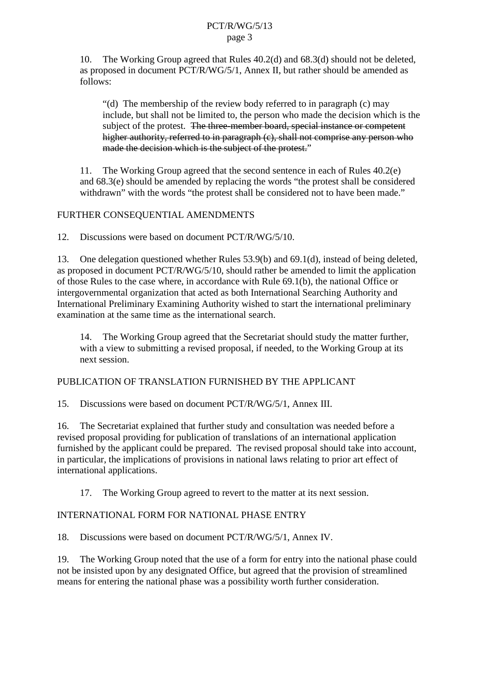10. The Working Group agreed that Rules 40.2(d) and 68.3(d) should not be deleted, as proposed in document PCT/R/WG/5/1, Annex II, but rather should be amended as follows:

"(d) The membership of the review body referred to in paragraph (c) may include, but shall not be limited to, the person who made the decision which is the subject of the protest. The three-member board, special instance or competent higher authority, referred to in paragraph (c), shall not comprise any person who made the decision which is the subject of the protest."

11. The Working Group agreed that the second sentence in each of Rules 40.2(e) and 68.3(e) should be amended by replacing the words "the protest shall be considered withdrawn" with the words "the protest shall be considered not to have been made."

## FURTHER CONSEQUENTIAL AMENDMENTS

12. Discussions were based on document PCT/R/WG/5/10.

13. One delegation questioned whether Rules 53.9(b) and 69.1(d), instead of being deleted, as proposed in document PCT/R/WG/5/10, should rather be amended to limit the application of those Rules to the case where, in accordance with Rule 69.1(b), the national Office or intergovernmental organization that acted as both International Searching Authority and International Preliminary Examining Authority wished to start the international preliminary examination at the same time as the international search.

14. The Working Group agreed that the Secretariat should study the matter further, with a view to submitting a revised proposal, if needed, to the Working Group at its next session.

# PUBLICATION OF TRANSLATION FURNISHED BY THE APPLICANT

15. Discussions were based on document PCT/R/WG/5/1, Annex III.

16. The Secretariat explained that further study and consultation was needed before a revised proposal providing for publication of translations of an international application furnished by the applicant could be prepared. The revised proposal should take into account, in particular, the implications of provisions in national laws relating to prior art effect of international applications.

17. The Working Group agreed to revert to the matter at its next session.

# INTERNATIONAL FORM FOR NATIONAL PHASE ENTRY

18. Discussions were based on document PCT/R/WG/5/1, Annex IV.

19. The Working Group noted that the use of a form for entry into the national phase could not be insisted upon by any designated Office, but agreed that the provision of streamlined means for entering the national phase was a possibility worth further consideration.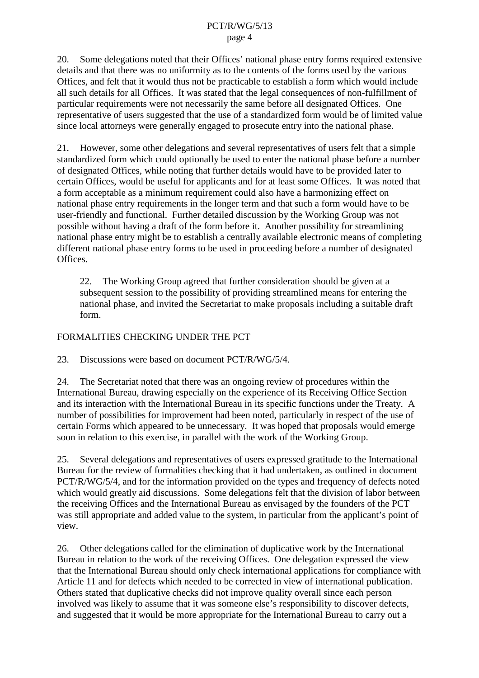20. Some delegations noted that their Offices' national phase entry forms required extensive details and that there was no uniformity as to the contents of the forms used by the various Offices, and felt that it would thus not be practicable to establish a form which would include all such details for all Offices. It was stated that the legal consequences of non-fulfillment of particular requirements were not necessarily the same before all designated Offices. One representative of users suggested that the use of a standardized form would be of limited value since local attorneys were generally engaged to prosecute entry into the national phase.

21. However, some other delegations and several representatives of users felt that a simple standardized form which could optionally be used to enter the national phase before a number of designated Offices, while noting that further details would have to be provided later to certain Offices, would be useful for applicants and for at least some Offices. It was noted that a form acceptable as a minimum requirement could also have a harmonizing effect on national phase entry requirements in the longer term and that such a form would have to be user-friendly and functional. Further detailed discussion by the Working Group was not possible without having a draft of the form before it. Another possibility for streamlining national phase entry might be to establish a centrally available electronic means of completing different national phase entry forms to be used in proceeding before a number of designated Offices.

22. The Working Group agreed that further consideration should be given at a subsequent session to the possibility of providing streamlined means for entering the national phase, and invited the Secretariat to make proposals including a suitable draft form.

#### FORMALITIES CHECKING UNDER THE PCT

23. Discussions were based on document PCT/R/WG/5/4.

24. The Secretariat noted that there was an ongoing review of procedures within the International Bureau, drawing especially on the experience of its Receiving Office Section and its interaction with the International Bureau in its specific functions under the Treaty. A number of possibilities for improvement had been noted, particularly in respect of the use of certain Forms which appeared to be unnecessary. It was hoped that proposals would emerge soon in relation to this exercise, in parallel with the work of the Working Group.

25. Several delegations and representatives of users expressed gratitude to the International Bureau for the review of formalities checking that it had undertaken, as outlined in document PCT/R/WG/5/4, and for the information provided on the types and frequency of defects noted which would greatly aid discussions. Some delegations felt that the division of labor between the receiving Offices and the International Bureau as envisaged by the founders of the PCT was still appropriate and added value to the system, in particular from the applicant's point of view.

26. Other delegations called for the elimination of duplicative work by the International Bureau in relation to the work of the receiving Offices. One delegation expressed the view that the International Bureau should only check international applications for compliance with Article 11 and for defects which needed to be corrected in view of international publication. Others stated that duplicative checks did not improve quality overall since each person involved was likely to assume that it was someone else's responsibility to discover defects, and suggested that it would be more appropriate for the International Bureau to carry out a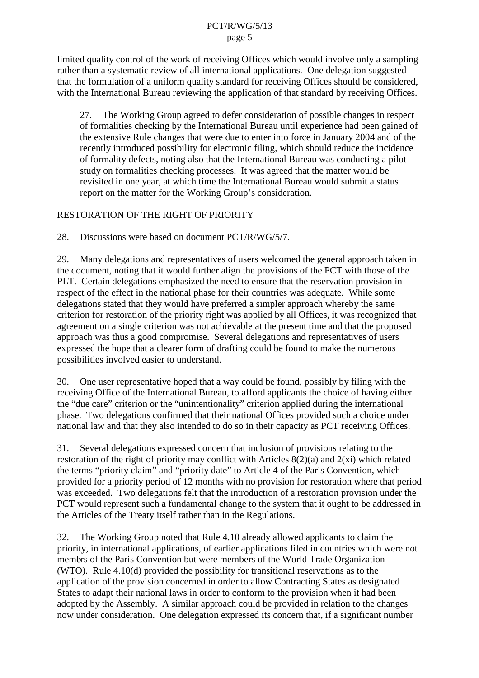limited quality control of the work of receiving Offices which would involve only a sampling rather than a systematic review of all international applications. One delegation suggested that the formulation of a uniform quality standard for receiving Offices should be considered, with the International Bureau reviewing the application of that standard by receiving Offices.

27. The Working Group agreed to defer consideration of possible changes in respect of formalities checking by the International Bureau until experience had been gained of the extensive Rule changes that were due to enter into force in January 2004 and of the recently introduced possibility for electronic filing, which should reduce the incidence of formality defects, noting also that the International Bureau was conducting a pilot study on formalities checking processes. It was agreed that the matter would be revisited in one year, at which time the International Bureau would submit a status report on the matter for the Working Group's consideration.

## RESTORATION OF THE RIGHT OF PRIORITY

28. Discussions were based on document PCT/R/WG/5/7.

29. Many delegations and representatives of users welcomed the general approach taken in the document, noting that it would further align the provisions of the PCT with those of the PLT. Certain delegations emphasized the need to ensure that the reservation provision in respect of the effect in the national phase for their countries was adequate. While some delegations stated that they would have preferred a simpler approach whereby the same criterion for restoration of the priority right was applied by all Offices, it was recognized that agreement on a single criterion was not achievable at the present time and that the proposed approach was thus a good compromise. Several delegations and representatives of users expressed the hope that a clearer form of drafting could be found to make the numerous possibilities involved easier to understand.

30. One user representative hoped that a way could be found, possibly by filing with the receiving Office of the International Bureau, to afford applicants the choice of having either the "due care" criterion or the "unintentionality" criterion applied during the international phase. Two delegations confirmed that their national Offices provided such a choice under national law and that they also intended to do so in their capacity as PCT receiving Offices.

31. Several delegations expressed concern that inclusion of provisions relating to the restoration of the right of priority may conflict with Articles 8(2)(a) and 2(xi) which related the terms "priority claim" and "priority date" to Article 4 of the Paris Convention, which provided for a priority period of 12 months with no provision for restoration where that period was exceeded. Two delegations felt that the introduction of a restoration provision under the PCT would represent such a fundamental change to the system that it ought to be addressed in the Articles of the Treaty itself rather than in the Regulations.

32. The Working Group noted that Rule 4.10 already allowed applicants to claim the priority, in international applications, of earlier applications filed in countries which were not members of the Paris Convention but were members of the World Trade Organization (WTO). Rule 4.10(d) provided the possibility for transitional reservations as to the application of the provision concerned in order to allow Contracting States as designated States to adapt their national laws in order to conform to the provision when it had been adopted by the Assembly. A similar approach could be provided in relation to the changes now under consideration. One delegation expressed its concern that, if a significant number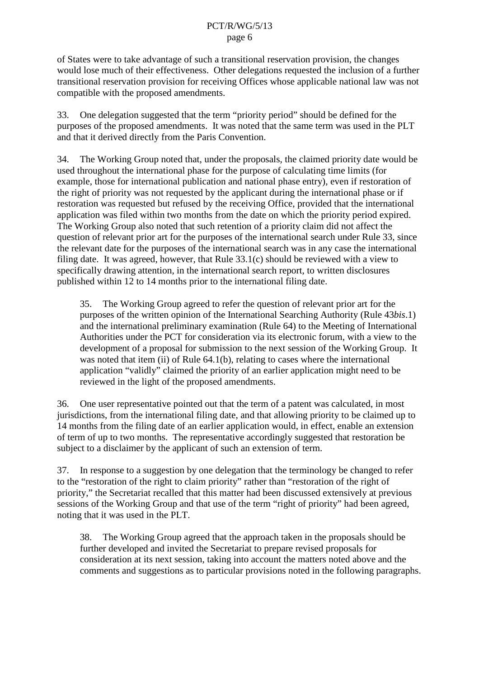of States were to take advantage of such a transitional reservation provision, the changes would lose much of their effectiveness. Other delegations requested the inclusion of a further transitional reservation provision for receiving Offices whose applicable national law was not compatible with the proposed amendments.

33. One delegation suggested that the term "priority period" should be defined for the purposes of the proposed amendments. It was noted that the same term was used in the PLT and that it derived directly from the Paris Convention.

34. The Working Group noted that, under the proposals, the claimed priority date would be used throughout the international phase for the purpose of calculating time limits (for example, those for international publication and national phase entry), even if restoration of the right of priority was not requested by the applicant during the international phase or if restoration was requested but refused by the receiving Office, provided that the international application was filed within two months from the date on which the priority period expired. The Working Group also noted that such retention of a priority claim did not affect the question of relevant prior art for the purposes of the international search under Rule 33, since the relevant date for the purposes of the international search was in any case the international filing date. It was agreed, however, that Rule 33.1(c) should be reviewed with a view to specifically drawing attention, in the international search report, to written disclosures published within 12 to 14 months prior to the international filing date.

35. The Working Group agreed to refer the question of relevant prior art for the purposes of the written opinion of the International Searching Authority (Rule 43*bis*.1) and the international preliminary examination (Rule 64) to the Meeting of International Authorities under the PCT for consideration via its electronic forum, with a view to the development of a proposal for submission to the next session of the Working Group. It was noted that item (ii) of Rule 64.1(b), relating to cases where the international application "validly" claimed the priority of an earlier application might need to be reviewed in the light of the proposed amendments.

36. One user representative pointed out that the term of a patent was calculated, in most jurisdictions, from the international filing date, and that allowing priority to be claimed up to 14 months from the filing date of an earlier application would, in effect, enable an extension of term of up to two months. The representative accordingly suggested that restoration be subject to a disclaimer by the applicant of such an extension of term.

37. In response to a suggestion by one delegation that the terminology be changed to refer to the "restoration of the right to claim priority" rather than "restoration of the right of priority," the Secretariat recalled that this matter had been discussed extensively at previous sessions of the Working Group and that use of the term "right of priority" had been agreed, noting that it was used in the PLT.

38. The Working Group agreed that the approach taken in the proposals should be further developed and invited the Secretariat to prepare revised proposals for consideration at its next session, taking into account the matters noted above and the comments and suggestions as to particular provisions noted in the following paragraphs.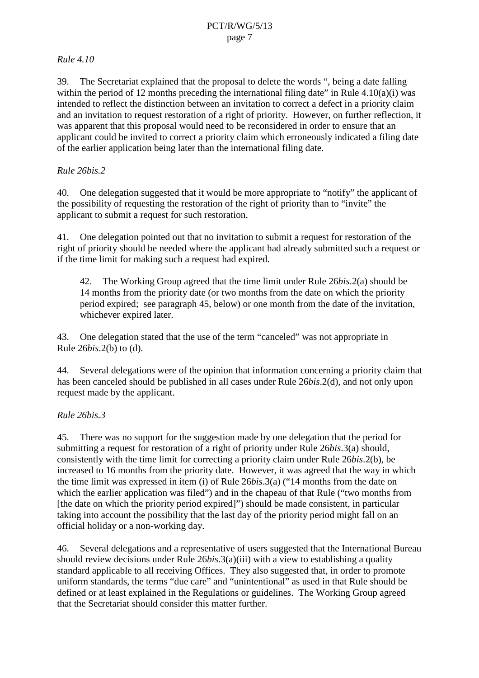## *Rule 4.10*

39. The Secretariat explained that the proposal to delete the words ", being a date falling within the period of 12 months preceding the international filing date" in Rule  $4.10(a)(i)$  was intended to reflect the distinction between an invitation to correct a defect in a priority claim and an invitation to request restoration of a right of priority. However, on further reflection, it was apparent that this proposal would need to be reconsidered in order to ensure that an applicant could be invited to correct a priority claim which erroneously indicated a filing date of the earlier application being later than the international filing date.

# *Rule 26bis.2*

40. One delegation suggested that it would be more appropriate to "notify" the applicant of the possibility of requesting the restoration of the right of priority than to "invite" the applicant to submit a request for such restoration.

41. One delegation pointed out that no invitation to submit a request for restoration of the right of priority should be needed where the applicant had already submitted such a request or if the time limit for making such a request had expired.

42. The Working Group agreed that the time limit under Rule 26*bis*.2(a) should be 14 months from the priority date (or two months from the date on which the priority period expired; see paragraph 45, below) or one month from the date of the invitation, whichever expired later.

43. One delegation stated that the use of the term "canceled" was not appropriate in Rule 26*bis*.2(b) to (d).

44. Several delegations were of the opinion that information concerning a priority claim that has been canceled should be published in all cases under Rule 26*bis*.2(d), and not only upon request made by the applicant.

# *Rule 26bis.3*

45. There was no support for the suggestion made by one delegation that the period for submitting a request for restoration of a right of priority under Rule 26*bis*.3(a) should, consistently with the time limit for correcting a priority claim under Rule 26*bis*.2(b), be increased to 16 months from the priority date. However, it was agreed that the way in which the time limit was expressed in item (i) of Rule 26*bis*.3(a) ("14 months from the date on which the earlier application was filed") and in the chapeau of that Rule ("two months from [the date on which the priority period expired]") should be made consistent, in particular taking into account the possibility that the last day of the priority period might fall on an official holiday or a non-working day.

46. Several delegations and a representative of users suggested that the International Bureau should review decisions under Rule 26*bis*.3(a)(iii) with a view to establishing a quality standard applicable to all receiving Offices. They also suggested that, in order to promote uniform standards, the terms "due care" and "unintentional" as used in that Rule should be defined or at least explained in the Regulations or guidelines. The Working Group agreed that the Secretariat should consider this matter further.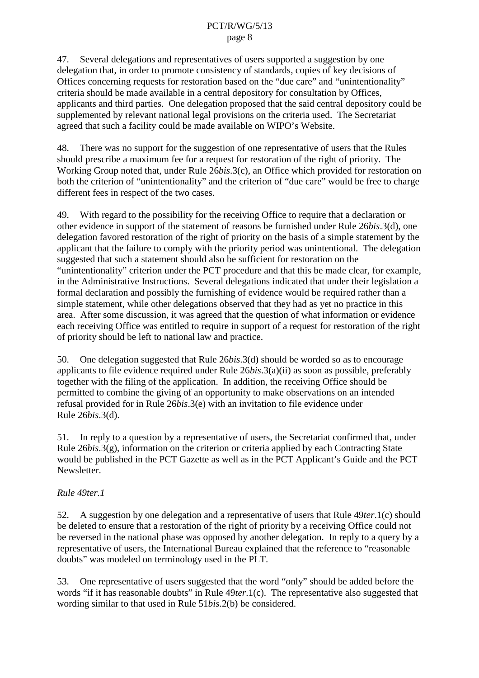47. Several delegations and representatives of users supported a suggestion by one delegation that, in order to promote consistency of standards, copies of key decisions of Offices concerning requests for restoration based on the "due care" and "unintentionality" criteria should be made available in a central depository for consultation by Offices, applicants and third parties. One delegation proposed that the said central depository could be supplemented by relevant national legal provisions on the criteria used. The Secretariat agreed that such a facility could be made available on WIPO's Website.

48. There was no support for the suggestion of one representative of users that the Rules should prescribe a maximum fee for a request for restoration of the right of priority. The Working Group noted that, under Rule 26*bis*.3(c), an Office which provided for restoration on both the criterion of "unintentionality" and the criterion of "due care" would be free to charge different fees in respect of the two cases.

49. With regard to the possibility for the receiving Office to require that a declaration or other evidence in support of the statement of reasons be furnished under Rule 26*bis*.3(d), one delegation favored restoration of the right of priority on the basis of a simple statement by the applicant that the failure to comply with the priority period was unintentional. The delegation suggested that such a statement should also be sufficient for restoration on the "unintentionality" criterion under the PCT procedure and that this be made clear, for example, in the Administrative Instructions. Several delegations indicated that under their legislation a formal declaration and possibly the furnishing of evidence would be required rather than a simple statement, while other delegations observed that they had as yet no practice in this area. After some discussion, it was agreed that the question of what information or evidence each receiving Office was entitled to require in support of a request for restoration of the right of priority should be left to national law and practice.

50. One delegation suggested that Rule 26*bis*.3(d) should be worded so as to encourage applicants to file evidence required under Rule 26*bis*.3(a)(ii) as soon as possible, preferably together with the filing of the application. In addition, the receiving Office should be permitted to combine the giving of an opportunity to make observations on an intended refusal provided for in Rule 26*bis*.3(e) with an invitation to file evidence under Rule 26*bis*.3(d).

51. In reply to a question by a representative of users, the Secretariat confirmed that, under Rule 26*bis*.3(g), information on the criterion or criteria applied by each Contracting State would be published in the PCT Gazette as well as in the PCT Applicant's Guide and the PCT Newsletter.

# *Rule 49ter.1*

52. A suggestion by one delegation and a representative of users that Rule 49*ter*.1(c) should be deleted to ensure that a restoration of the right of priority by a receiving Office could not be reversed in the national phase was opposed by another delegation. In reply to a query by a representative of users, the International Bureau explained that the reference to "reasonable doubts" was modeled on terminology used in the PLT.

53. One representative of users suggested that the word "only" should be added before the words "if it has reasonable doubts" in Rule 49*ter*.1(c). The representative also suggested that wording similar to that used in Rule 51*bis*.2(b) be considered.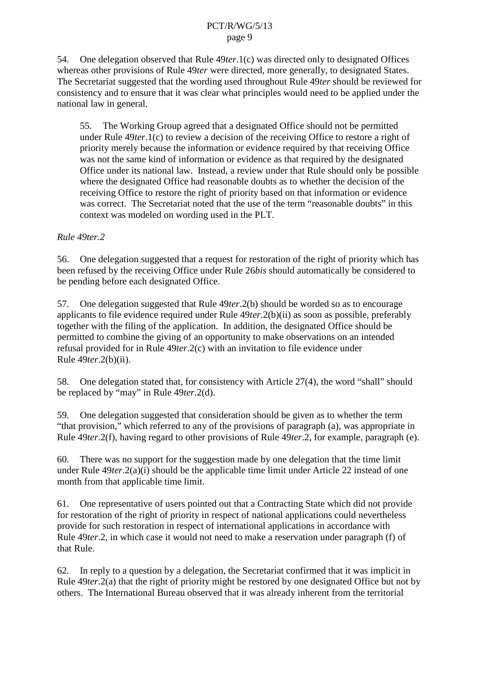54. One delegation observed that Rule 49*ter*.1(c) was directed only to designated Offices whereas other provisions of Rule 49*ter* were directed, more generally, to designated States. The Secretariat suggested that the wording used throughout Rule 49*ter* should be reviewed for consistency and to ensure that it was clear what principles would need to be applied under the national law in general.

55. The Working Group agreed that a designated Office should not be permitted under Rule 49*ter*.1(c) to review a decision of the receiving Office to restore a right of priority merely because the information or evidence required by that receiving Office was not the same kind of information or evidence as that required by the designated Office under its national law. Instead, a review under that Rule should only be possible where the designated Office had reasonable doubts as to whether the decision of the receiving Office to restore the right of priority based on that information or evidence was correct. The Secretariat noted that the use of the term "reasonable doubts" in this context was modeled on wording used in the PLT.

#### *Rule 49ter.2*

56. One delegation suggested that a request for restoration of the right of priority which has been refused by the receiving Office under Rule 26*bis* should automatically be considered to be pending before each designated Office.

57. One delegation suggested that Rule 49*ter*.2(b) should be worded so as to encourage applicants to file evidence required under Rule 49*ter*.2(b)(ii) as soon as possible, preferably together with the filing of the application. In addition, the designated Office should be permitted to combine the giving of an opportunity to make observations on an intended refusal provided for in Rule 49*ter*.2(c) with an invitation to file evidence under Rule 49*ter*.2(b)(ii).

58. One delegation stated that, for consistency with Article 27(4), the word "shall" should be replaced by "may" in Rule 49*ter*.2(d).

59. One delegation suggested that consideration should be given as to whether the term "that provision," which referred to any of the provisions of paragraph (a), was appropriate in Rule 49*ter*.2(f), having regard to other provisions of Rule 49*ter*.2, for example, paragraph (e).

60. There was no support for the suggestion made by one delegation that the time limit under Rule 49*ter*.2(a)(i) should be the applicable time limit under Article 22 instead of one month from that applicable time limit.

61. One representative of users pointed out that a Contracting State which did not provide for restoration of the right of priority in respect of national applications could nevertheless provide for such restoration in respect of international applications in accordance with Rule 49*ter*.2, in which case it would not need to make a reservation under paragraph (f) of that Rule.

62. In reply to a question by a delegation, the Secretariat confirmed that it was implicit in Rule 49*ter*.2(a) that the right of priority might be restored by one designated Office but not by others. The International Bureau observed that it was already inherent from the territorial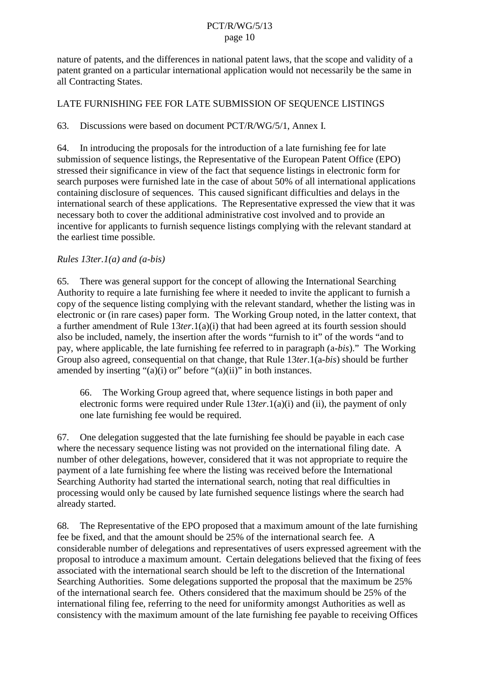<span id="page-9-0"></span>nature of patents, and the differences in national patent laws, that the scope and validity of a patent granted on a particular international application would not necessarily be the same in all Contracting States.

#### LATE FURNISHING FEE FOR LATE SUBMISSION OF SEQUENCE LISTINGS

#### 63. Discussions were based on document PCT/R/WG/5/1, Annex I.

64. In introducing the proposals for the introduction of a late furnishing fee for late submission of sequence listings, the Representative of the European Patent Office (EPO) stressed their significance in view of the fact that sequence listings in electronic form for search purposes were furnished late in the case of about 50% of all international applications containing disclosure of sequences. This caused significant difficulties and delays in the international search of these applications. The Representative expressed the view that it was necessary both to cover the additional administrative cost involved and to provide an incentive for applicants to furnish sequence listings complying with the relevant standard at the earliest time possible.

#### *Rules 13ter.1(a) and (a-bis)*

65. There was general support for the concept of allowing the International Searching Authority to require a late furnishing fee where it needed to invite the applicant to furnish a copy of the sequence listing complying with the relevant standard, whether the listing was in electronic or (in rare cases) paper form. The Working Group noted, in the latter context, that a further amendment of Rule 13*ter*.1(a)(i) that had been agreed at its fourth session should also be included, namely, the insertion after the words "furnish to it" of the words "and to pay, where applicable, the late furnishing fee referred to in paragraph (a-*bis*)." The Working Group also agreed, consequential on that change, that Rule 13*ter*.1(a-*bis*) should be further amended by inserting "(a)(i) or" before "(a)(ii)" in both instances.

66. The Working Group agreed that, where sequence listings in both paper and electronic forms were required under Rule 13*ter*.1(a)(i) and (ii), the payment of only one late furnishing fee would be required.

67. One delegation suggested that the late furnishing fee should be payable in each case where the necessary sequence listing was not provided on the international filing date. A number of other delegations, however, considered that it was not appropriate to require the payment of a late furnishing fee where the listing was received before the International Searching Authority had started the international search, noting that real difficulties in processing would only be caused by late furnished sequence listings where the search had already started.

68. The Representative of the EPO proposed that a maximum amount of the late furnishing fee be fixed, and that the amount should be 25% of the international search fee. A considerable number of delegations and representatives of users expressed agreement with the proposal to introduce a maximum amount. Certain delegations believed that the fixing of fees associated with the international search should be left to the discretion of the International Searching Authorities. Some delegations supported the proposal that the maximum be 25% of the international search fee. Others considered that the maximum should be 25% of the international filing fee, referring to the need for uniformity amongst Authorities as well as consistency with the maximum amount of the late furnishing fee payable to receiving Offices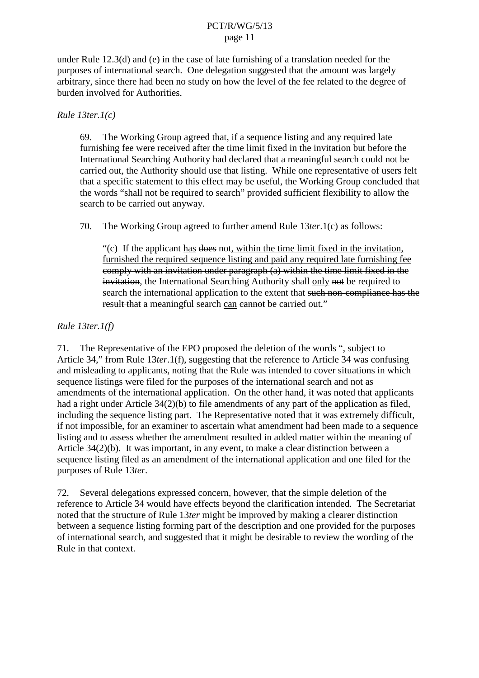<span id="page-10-0"></span>under Rule 12.3(d) and (e) in the case of late furnishing of a translation needed for the purposes of international search. One delegation suggested that the amount was largely arbitrary, since there had been no study on how the level of the fee related to the degree of burden involved for Authorities.

#### *Rule 13ter.1(c)*

69. The Working Group agreed that, if a sequence listing and any required late furnishing fee were received after the time limit fixed in the invitation but before the International Searching Authority had declared that a meaningful search could not be carried out, the Authority should use that listing. While one representative of users felt that a specific statement to this effect may be useful, the Working Group concluded that the words "shall not be required to search" provided sufficient flexibility to allow the search to be carried out anyway.

70. The Working Group agreed to further amend Rule 13*ter*.1(c) as follows:

"(c) If the applicant has does not, within the time limit fixed in the invitation, furnished the required sequence listing and paid any required late furnishing fee comply with an invitation under paragraph  $(a)$  within the time limit fixed in the invitation, the International Searching Authority shall only not be required to search the international application to the extent that such non-compliance has the result that a meaningful search can ean to be carried out."

## *Rule 13ter.1(f)*

71. The Representative of the EPO proposed the deletion of the words ", subject to Article 34," from Rule 13*ter*.1(f), suggesting that the reference to Article 34 was confusing and misleading to applicants, noting that the Rule was intended to cover situations in which sequence listings were filed for the purposes of the international search and not as amendments of the international application. On the other hand, it was noted that applicants had a right under Article 34(2)(b) to file amendments of any part of the application as filed, including the sequence listing part. The Representative noted that it was extremely difficult, if not impossible, for an examiner to ascertain what amendment had been made to a sequence listing and to assess whether the amendment resulted in added matter within the meaning of Article 34(2)(b). It was important, in any event, to make a clear distinction between a sequence listing filed as an amendment of the international application and one filed for the purposes of Rule 13*ter.*

72. Several delegations expressed concern, however, that the simple deletion of the reference to Article 34 would have effects beyond the clarification intended. The Secretariat noted that the structure of Rule 13*ter* might be improved by making a clearer distinction between a sequence listing forming part of the description and one provided for the purposes of international search, and suggested that it might be desirable to review the wording of the Rule in that context.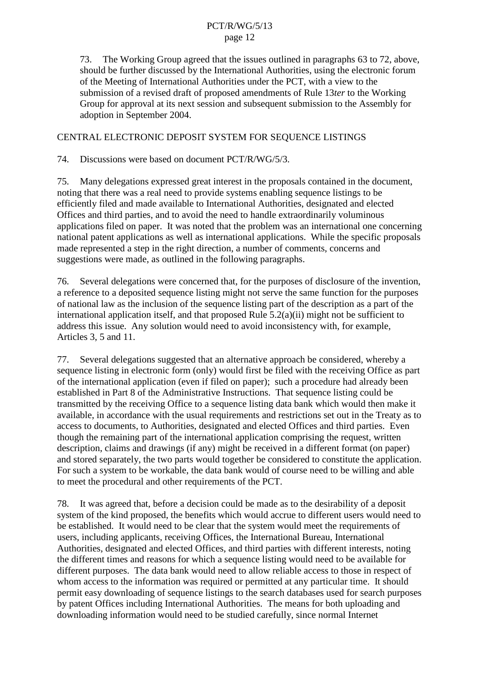73. The Working Group agreed that the issues outlined in paragraphs [63](#page-9-0) to [72](#page-10-0), above, should be further discussed by the International Authorities, using the electronic forum of the Meeting of International Authorities under the PCT, with a view to the submission of a revised draft of proposed amendments of Rule 13*ter* to the Working Group for approval at its next session and subsequent submission to the Assembly for adoption in September 2004.

## CENTRAL ELECTRONIC DEPOSIT SYSTEM FOR SEQUENCE LISTINGS

74. Discussions were based on document PCT/R/WG/5/3.

75. Many delegations expressed great interest in the proposals contained in the document, noting that there was a real need to provide systems enabling sequence listings to be efficiently filed and made available to International Authorities, designated and elected Offices and third parties, and to avoid the need to handle extraordinarily voluminous applications filed on paper. It was noted that the problem was an international one concerning national patent applications as well as international applications. While the specific proposals made represented a step in the right direction, a number of comments, concerns and suggestions were made, as outlined in the following paragraphs.

76. Several delegations were concerned that, for the purposes of disclosure of the invention, a reference to a deposited sequence listing might not serve the same function for the purposes of national law as the inclusion of the sequence listing part of the description as a part of the international application itself, and that proposed Rule 5.2(a)(ii) might not be sufficient to address this issue. Any solution would need to avoid inconsistency with, for example, Articles 3, 5 and 11.

77. Several delegations suggested that an alternative approach be considered, whereby a sequence listing in electronic form (only) would first be filed with the receiving Office as part of the international application (even if filed on paper); such a procedure had already been established in Part 8 of the Administrative Instructions. That sequence listing could be transmitted by the receiving Office to a sequence listing data bank which would then make it available, in accordance with the usual requirements and restrictions set out in the Treaty as to access to documents, to Authorities, designated and elected Offices and third parties. Even though the remaining part of the international application comprising the request, written description, claims and drawings (if any) might be received in a different format (on paper) and stored separately, the two parts would together be considered to constitute the application. For such a system to be workable, the data bank would of course need to be willing and able to meet the procedural and other requirements of the PCT.

78. It was agreed that, before a decision could be made as to the desirability of a deposit system of the kind proposed, the benefits which would accrue to different users would need to be established. It would need to be clear that the system would meet the requirements of users, including applicants, receiving Offices, the International Bureau, International Authorities, designated and elected Offices, and third parties with different interests, noting the different times and reasons for which a sequence listing would need to be available for different purposes. The data bank would need to allow reliable access to those in respect of whom access to the information was required or permitted at any particular time. It should permit easy downloading of sequence listings to the search databases used for search purposes by patent Offices including International Authorities. The means for both uploading and downloading information would need to be studied carefully, since normal Internet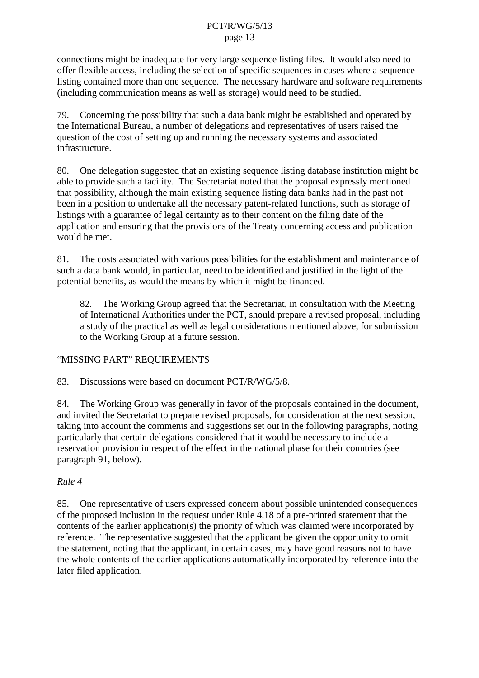connections might be inadequate for very large sequence listing files. It would also need to offer flexible access, including the selection of specific sequences in cases where a sequence listing contained more than one sequence. The necessary hardware and software requirements (including communication means as well as storage) would need to be studied.

79. Concerning the possibility that such a data bank might be established and operated by the International Bureau, a number of delegations and representatives of users raised the question of the cost of setting up and running the necessary systems and associated infrastructure.

80. One delegation suggested that an existing sequence listing database institution might be able to provide such a facility. The Secretariat noted that the proposal expressly mentioned that possibility, although the main existing sequence listing data banks had in the past not been in a position to undertake all the necessary patent-related functions, such as storage of listings with a guarantee of legal certainty as to their content on the filing date of the application and ensuring that the provisions of the Treaty concerning access and publication would be met.

81. The costs associated with various possibilities for the establishment and maintenance of such a data bank would, in particular, need to be identified and justified in the light of the potential benefits, as would the means by which it might be financed.

82. The Working Group agreed that the Secretariat, in consultation with the Meeting of International Authorities under the PCT, should prepare a revised proposal, including a study of the practical as well as legal considerations mentioned above, for submission to the Working Group at a future session.

## "MISSING PART" REQUIREMENTS

83. Discussions were based on document PCT/R/WG/5/8.

84. The Working Group was generally in favor of the proposals contained in the document, and invited the Secretariat to prepare revised proposals, for consideration at the next session, taking into account the comments and suggestions set out in the following paragraphs, noting particularly that certain delegations considered that it would be necessary to include a reservation provision in respect of the effect in the national phase for their countries (see paragraph [91,](#page-13-0) below).

## *Rule 4*

85. One representative of users expressed concern about possible unintended consequences of the proposed inclusion in the request under Rule 4.18 of a pre-printed statement that the contents of the earlier application(s) the priority of which was claimed were incorporated by reference. The representative suggested that the applicant be given the opportunity to omit the statement, noting that the applicant, in certain cases, may have good reasons not to have the whole contents of the earlier applications automatically incorporated by reference into the later filed application.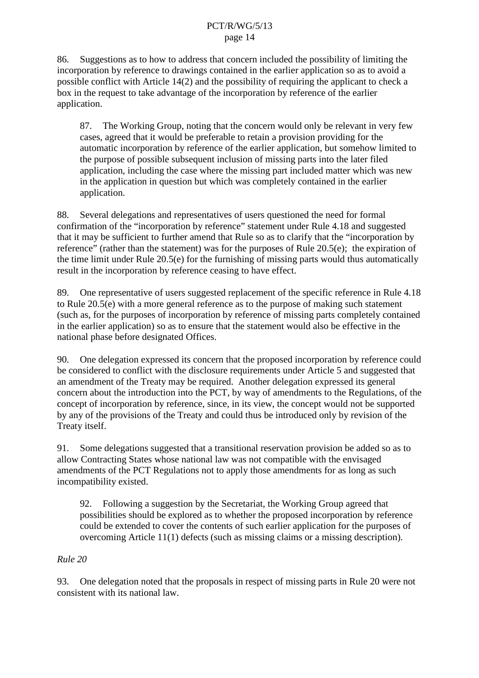<span id="page-13-0"></span>86. Suggestions as to how to address that concern included the possibility of limiting the incorporation by reference to drawings contained in the earlier application so as to avoid a possible conflict with Article 14(2) and the possibility of requiring the applicant to check a box in the request to take advantage of the incorporation by reference of the earlier application.

87. The Working Group, noting that the concern would only be relevant in very few cases, agreed that it would be preferable to retain a provision providing for the automatic incorporation by reference of the earlier application, but somehow limited to the purpose of possible subsequent inclusion of missing parts into the later filed application, including the case where the missing part included matter which was new in the application in question but which was completely contained in the earlier application.

88. Several delegations and representatives of users questioned the need for formal confirmation of the "incorporation by reference" statement under Rule 4.18 and suggested that it may be sufficient to further amend that Rule so as to clarify that the "incorporation by reference" (rather than the statement) was for the purposes of Rule 20.5(e); the expiration of the time limit under Rule 20.5(e) for the furnishing of missing parts would thus automatically result in the incorporation by reference ceasing to have effect.

89. One representative of users suggested replacement of the specific reference in Rule 4.18 to Rule 20.5(e) with a more general reference as to the purpose of making such statement (such as, for the purposes of incorporation by reference of missing parts completely contained in the earlier application) so as to ensure that the statement would also be effective in the national phase before designated Offices.

90. One delegation expressed its concern that the proposed incorporation by reference could be considered to conflict with the disclosure requirements under Article 5 and suggested that an amendment of the Treaty may be required. Another delegation expressed its general concern about the introduction into the PCT, by way of amendments to the Regulations, of the concept of incorporation by reference, since, in its view, the concept would not be supported by any of the provisions of the Treaty and could thus be introduced only by revision of the Treaty itself.

91. Some delegations suggested that a transitional reservation provision be added so as to allow Contracting States whose national law was not compatible with the envisaged amendments of the PCT Regulations not to apply those amendments for as long as such incompatibility existed.

92. Following a suggestion by the Secretariat, the Working Group agreed that possibilities should be explored as to whether the proposed incorporation by reference could be extended to cover the contents of such earlier application for the purposes of overcoming Article 11(1) defects (such as missing claims or a missing description).

## *Rule 20*

93. One delegation noted that the proposals in respect of missing parts in Rule 20 were not consistent with its national law.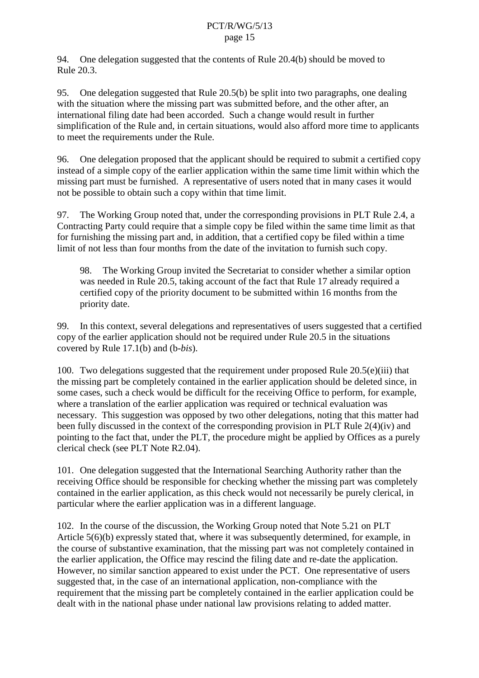94. One delegation suggested that the contents of Rule 20.4(b) should be moved to Rule 20.3.

95. One delegation suggested that Rule 20.5(b) be split into two paragraphs, one dealing with the situation where the missing part was submitted before, and the other after, an international filing date had been accorded. Such a change would result in further simplification of the Rule and, in certain situations, would also afford more time to applicants to meet the requirements under the Rule.

96. One delegation proposed that the applicant should be required to submit a certified copy instead of a simple copy of the earlier application within the same time limit within which the missing part must be furnished. A representative of users noted that in many cases it would not be possible to obtain such a copy within that time limit.

97. The Working Group noted that, under the corresponding provisions in PLT Rule 2.4, a Contracting Party could require that a simple copy be filed within the same time limit as that for furnishing the missing part and, in addition, that a certified copy be filed within a time limit of not less than four months from the date of the invitation to furnish such copy.

98. The Working Group invited the Secretariat to consider whether a similar option was needed in Rule 20.5, taking account of the fact that Rule 17 already required a certified copy of the priority document to be submitted within 16 months from the priority date.

99. In this context, several delegations and representatives of users suggested that a certified copy of the earlier application should not be required under Rule 20.5 in the situations covered by Rule 17.1(b) and (b-*bis*).

100. Two delegations suggested that the requirement under proposed Rule 20.5(e)(iii) that the missing part be completely contained in the earlier application should be deleted since, in some cases, such a check would be difficult for the receiving Office to perform, for example, where a translation of the earlier application was required or technical evaluation was necessary. This suggestion was opposed by two other delegations, noting that this matter had been fully discussed in the context of the corresponding provision in PLT Rule 2(4)(iv) and pointing to the fact that, under the PLT, the procedure might be applied by Offices as a purely clerical check (see PLT Note R2.04).

101. One delegation suggested that the International Searching Authority rather than the receiving Office should be responsible for checking whether the missing part was completely contained in the earlier application, as this check would not necessarily be purely clerical, in particular where the earlier application was in a different language.

102. In the course of the discussion, the Working Group noted that Note 5.21 on PLT Article 5(6)(b) expressly stated that, where it was subsequently determined, for example, in the course of substantive examination, that the missing part was not completely contained in the earlier application, the Office may rescind the filing date and re-date the application. However, no similar sanction appeared to exist under the PCT. One representative of users suggested that, in the case of an international application, non-compliance with the requirement that the missing part be completely contained in the earlier application could be dealt with in the national phase under national law provisions relating to added matter.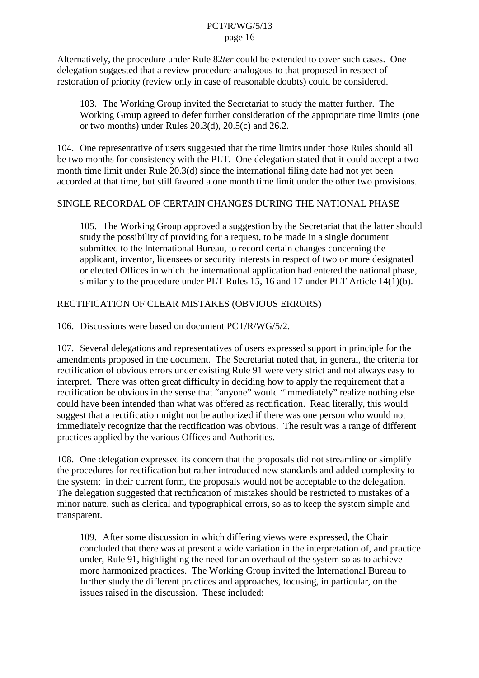Alternatively, the procedure under Rule 82*ter* could be extended to cover such cases. One delegation suggested that a review procedure analogous to that proposed in respect of restoration of priority (review only in case of reasonable doubts) could be considered.

103. The Working Group invited the Secretariat to study the matter further. The Working Group agreed to defer further consideration of the appropriate time limits (one or two months) under Rules 20.3(d), 20.5(c) and 26.2.

104. One representative of users suggested that the time limits under those Rules should all be two months for consistency with the PLT. One delegation stated that it could accept a two month time limit under Rule 20.3(d) since the international filing date had not yet been accorded at that time, but still favored a one month time limit under the other two provisions.

#### SINGLE RECORDAL OF CERTAIN CHANGES DURING THE NATIONAL PHASE

105. The Working Group approved a suggestion by the Secretariat that the latter should study the possibility of providing for a request, to be made in a single document submitted to the International Bureau, to record certain changes concerning the applicant, inventor, licensees or security interests in respect of two or more designated or elected Offices in which the international application had entered the national phase, similarly to the procedure under PLT Rules 15, 16 and 17 under PLT Article 14(1)(b).

#### RECTIFICATION OF CLEAR MISTAKES (OBVIOUS ERRORS)

106. Discussions were based on document PCT/R/WG/5/2.

107. Several delegations and representatives of users expressed support in principle for the amendments proposed in the document. The Secretariat noted that, in general, the criteria for rectification of obvious errors under existing Rule 91 were very strict and not always easy to interpret. There was often great difficulty in deciding how to apply the requirement that a rectification be obvious in the sense that "anyone" would "immediately" realize nothing else could have been intended than what was offered as rectification. Read literally, this would suggest that a rectification might not be authorized if there was one person who would not immediately recognize that the rectification was obvious. The result was a range of different practices applied by the various Offices and Authorities.

108. One delegation expressed its concern that the proposals did not streamline or simplify the procedures for rectification but rather introduced new standards and added complexity to the system; in their current form, the proposals would not be acceptable to the delegation. The delegation suggested that rectification of mistakes should be restricted to mistakes of a minor nature, such as clerical and typographical errors, so as to keep the system simple and transparent.

109. After some discussion in which differing views were expressed, the Chair concluded that there was at present a wide variation in the interpretation of, and practice under, Rule 91, highlighting the need for an overhaul of the system so as to achieve more harmonized practices. The Working Group invited the International Bureau to further study the different practices and approaches, focusing, in particular, on the issues raised in the discussion. These included: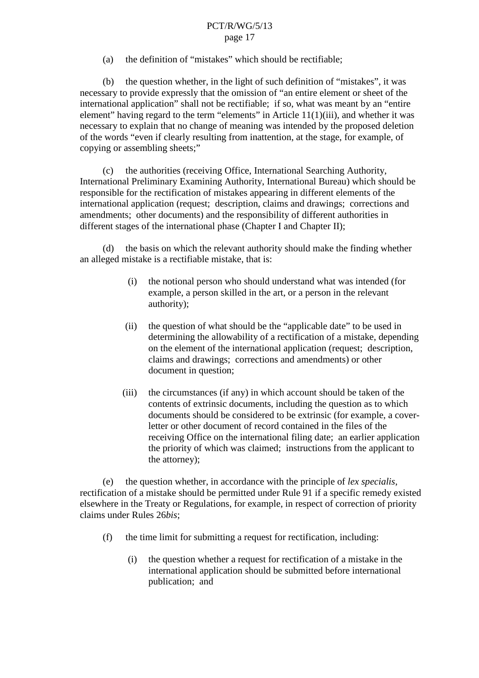(a) the definition of "mistakes" which should be rectifiable;

(b) the question whether, in the light of such definition of "mistakes", it was necessary to provide expressly that the omission of "an entire element or sheet of the international application" shall not be rectifiable; if so, what was meant by an "entire element" having regard to the term "elements" in Article  $11(1)(iii)$ , and whether it was necessary to explain that no change of meaning was intended by the proposed deletion of the words "even if clearly resulting from inattention, at the stage, for example, of copying or assembling sheets;"

(c) the authorities (receiving Office, International Searching Authority, International Preliminary Examining Authority, International Bureau) which should be responsible for the rectification of mistakes appearing in different elements of the international application (request; description, claims and drawings; corrections and amendments; other documents) and the responsibility of different authorities in different stages of the international phase (Chapter I and Chapter II);

(d) the basis on which the relevant authority should make the finding whether an alleged mistake is a rectifiable mistake, that is:

- (i) the notional person who should understand what was intended (for example, a person skilled in the art, or a person in the relevant authority);
- (ii) the question of what should be the "applicable date" to be used in determining the allowability of a rectification of a mistake, depending on the element of the international application (request; description, claims and drawings; corrections and amendments) or other document in question;
- (iii) the circumstances (if any) in which account should be taken of the contents of extrinsic documents, including the question as to which documents should be considered to be extrinsic (for example, a coverletter or other document of record contained in the files of the receiving Office on the international filing date; an earlier application the priority of which was claimed; instructions from the applicant to the attorney);

(e) the question whether, in accordance with the principle of *lex specialis*, rectification of a mistake should be permitted under Rule 91 if a specific remedy existed elsewhere in the Treaty or Regulations, for example, in respect of correction of priority claims under Rules 26*bis*;

- (f) the time limit for submitting a request for rectification, including:
	- (i) the question whether a request for rectification of a mistake in the international application should be submitted before international publication; and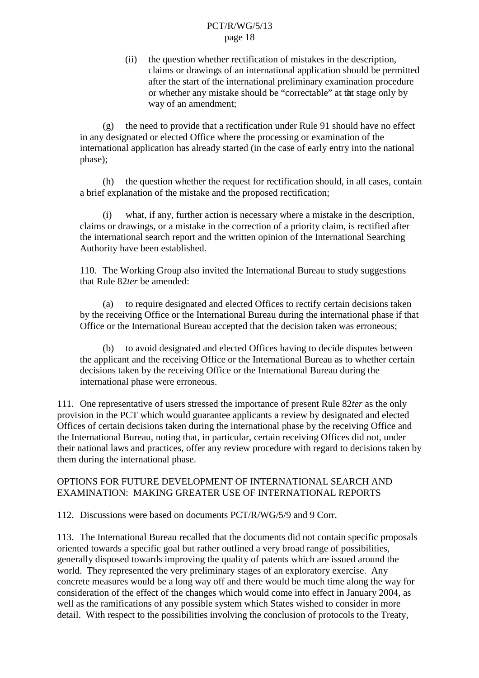(ii) the question whether rectification of mistakes in the description, claims or drawings of an international application should be permitted after the start of the international preliminary examination procedure or whether any mistake should be "correctable" at that stage only by way of an amendment;

(g) the need to provide that a rectification under Rule 91 should have no effect in any designated or elected Office where the processing or examination of the international application has already started (in the case of early entry into the national phase);

(h) the question whether the request for rectification should, in all cases, contain a brief explanation of the mistake and the proposed rectification;

what, if any, further action is necessary where a mistake in the description, claims or drawings, or a mistake in the correction of a priority claim, is rectified after the international search report and the written opinion of the International Searching Authority have been established.

110. The Working Group also invited the International Bureau to study suggestions that Rule 82*ter* be amended:

(a) to require designated and elected Offices to rectify certain decisions taken by the receiving Office or the International Bureau during the international phase if that Office or the International Bureau accepted that the decision taken was erroneous;

(b) to avoid designated and elected Offices having to decide disputes between the applicant and the receiving Office or the International Bureau as to whether certain decisions taken by the receiving Office or the International Bureau during the international phase were erroneous.

111. One representative of users stressed the importance of present Rule 82*ter* as the only provision in the PCT which would guarantee applicants a review by designated and elected Offices of certain decisions taken during the international phase by the receiving Office and the International Bureau, noting that, in particular, certain receiving Offices did not, under their national laws and practices, offer any review procedure with regard to decisions taken by them during the international phase.

#### OPTIONS FOR FUTURE DEVELOPMENT OF INTERNATIONAL SEARCH AND EXAMINATION: MAKING GREATER USE OF INTERNATIONAL REPORTS

112. Discussions were based on documents PCT/R/WG/5/9 and 9 Corr.

113. The International Bureau recalled that the documents did not contain specific proposals oriented towards a specific goal but rather outlined a very broad range of possibilities, generally disposed towards improving the quality of patents which are issued around the world. They represented the very preliminary stages of an exploratory exercise. Any concrete measures would be a long way off and there would be much time along the way for consideration of the effect of the changes which would come into effect in January 2004, as well as the ramifications of any possible system which States wished to consider in more detail. With respect to the possibilities involving the conclusion of protocols to the Treaty,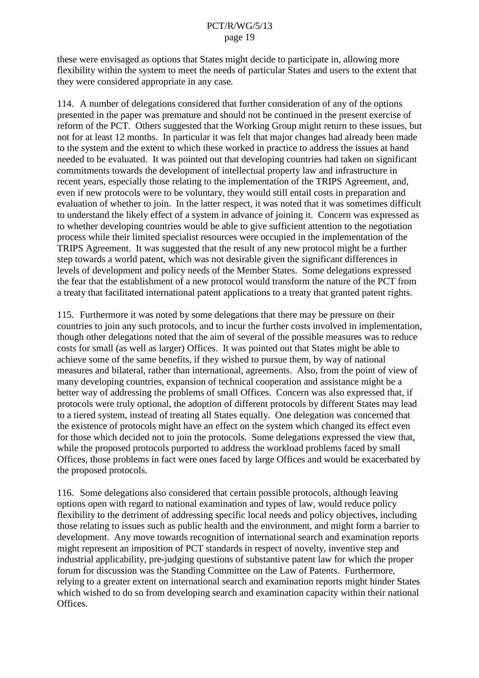these were envisaged as options that States might decide to participate in, allowing more flexibility within the system to meet the needs of particular States and users to the extent that they were considered appropriate in any case.

114. A number of delegations considered that further consideration of any of the options presented in the paper was premature and should not be continued in the present exercise of reform of the PCT. Others suggested that the Working Group might return to these issues, but not for at least 12 months. In particular it was felt that major changes had already been made to the system and the extent to which these worked in practice to address the issues at hand needed to be evaluated. It was pointed out that developing countries had taken on significant commitments towards the development of intellectual property law and infrastructure in recent years, especially those relating to the implementation of the TRIPS Agreement, and, even if new protocols were to be voluntary, they would still entail costs in preparation and evaluation of whether to join. In the latter respect, it was noted that it was sometimes difficult to understand the likely effect of a system in advance of joining it. Concern was expressed as to whether developing countries would be able to give sufficient attention to the negotiation process while their limited specialist resources were occupied in the implementation of the TRIPS Agreement. It was suggested that the result of any new protocol might be a further step towards a world patent, which was not desirable given the significant differences in levels of development and policy needs of the Member States. Some delegations expressed the fear that the establishment of a new protocol would transform the nature of the PCT from a treaty that facilitated international patent applications to a treaty that granted patent rights.

115. Furthermore it was noted by some delegations that there may be pressure on their countries to join any such protocols, and to incur the further costs involved in implementation, though other delegations noted that the aim of several of the possible measures was to reduce costs for small (as well as larger) Offices. It was pointed out that States might be able to achieve some of the same benefits, if they wished to pursue them, by way of national measures and bilateral, rather than international, agreements. Also, from the point of view of many developing countries, expansion of technical cooperation and assistance might be a better way of addressing the problems of small Offices. Concern was also expressed that, if protocols were truly optional, the adoption of different protocols by different States may lead to a tiered system, instead of treating all States equally. One delegation was concerned that the existence of protocols might have an effect on the system which changed its effect even for those which decided not to join the protocols. Some delegations expressed the view that, while the proposed protocols purported to address the workload problems faced by small Offices, those problems in fact were ones faced by large Offices and would be exacerbated by the proposed protocols.

116. Some delegations also considered that certain possible protocols, although leaving options open with regard to national examination and types of law, would reduce policy flexibility to the detriment of addressing specific local needs and policy objectives, including those relating to issues such as public health and the environment, and might form a barrier to development. Any move towards recognition of international search and examination reports might represent an imposition of PCT standards in respect of novelty, inventive step and industrial applicability, pre-judging questions of substantive patent law for which the proper forum for discussion was the Standing Committee on the Law of Patents. Furthermore, relying to a greater extent on international search and examination reports might hinder States which wished to do so from developing search and examination capacity within their national Offices.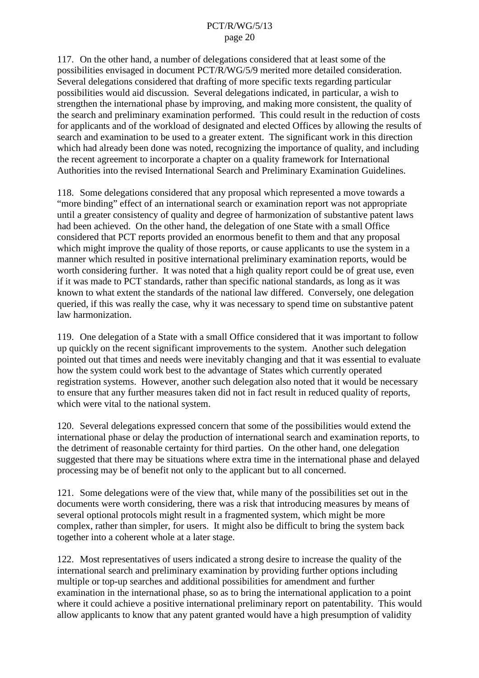117. On the other hand, a number of delegations considered that at least some of the possibilities envisaged in document PCT/R/WG/5/9 merited more detailed consideration. Several delegations considered that drafting of more specific texts regarding particular possibilities would aid discussion. Several delegations indicated, in particular, a wish to strengthen the international phase by improving, and making more consistent, the quality of the search and preliminary examination performed. This could result in the reduction of costs for applicants and of the workload of designated and elected Offices by allowing the results of search and examination to be used to a greater extent. The significant work in this direction which had already been done was noted, recognizing the importance of quality, and including the recent agreement to incorporate a chapter on a quality framework for International Authorities into the revised International Search and Preliminary Examination Guidelines.

118. Some delegations considered that any proposal which represented a move towards a "more binding" effect of an international search or examination report was not appropriate until a greater consistency of quality and degree of harmonization of substantive patent laws had been achieved. On the other hand, the delegation of one State with a small Office considered that PCT reports provided an enormous benefit to them and that any proposal which might improve the quality of those reports, or cause applicants to use the system in a manner which resulted in positive international preliminary examination reports, would be worth considering further. It was noted that a high quality report could be of great use, even if it was made to PCT standards, rather than specific national standards, as long as it was known to what extent the standards of the national law differed. Conversely, one delegation queried, if this was really the case, why it was necessary to spend time on substantive patent law harmonization.

119. One delegation of a State with a small Office considered that it was important to follow up quickly on the recent significant improvements to the system. Another such delegation pointed out that times and needs were inevitably changing and that it was essential to evaluate how the system could work best to the advantage of States which currently operated registration systems. However, another such delegation also noted that it would be necessary to ensure that any further measures taken did not in fact result in reduced quality of reports, which were vital to the national system.

120. Several delegations expressed concern that some of the possibilities would extend the international phase or delay the production of international search and examination reports, to the detriment of reasonable certainty for third parties. On the other hand, one delegation suggested that there may be situations where extra time in the international phase and delayed processing may be of benefit not only to the applicant but to all concerned.

121. Some delegations were of the view that, while many of the possibilities set out in the documents were worth considering, there was a risk that introducing measures by means of several optional protocols might result in a fragmented system, which might be more complex, rather than simpler, for users. It might also be difficult to bring the system back together into a coherent whole at a later stage.

122. Most representatives of users indicated a strong desire to increase the quality of the international search and preliminary examination by providing further options including multiple or top-up searches and additional possibilities for amendment and further examination in the international phase, so as to bring the international application to a point where it could achieve a positive international preliminary report on patentability. This would allow applicants to know that any patent granted would have a high presumption of validity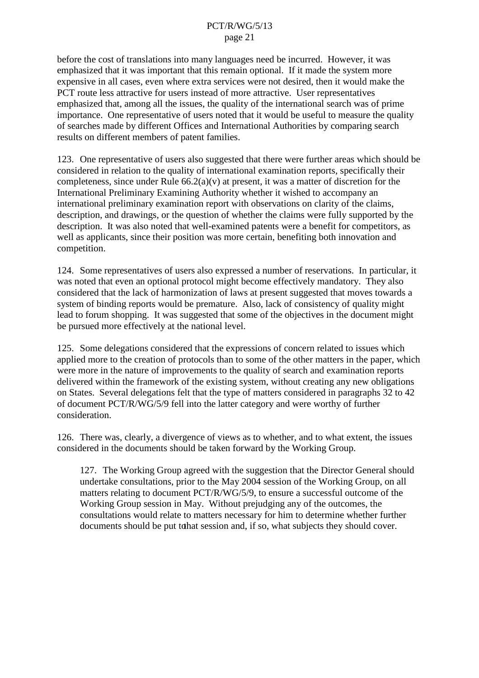before the cost of translations into many languages need be incurred. However, it was emphasized that it was important that this remain optional. If it made the system more expensive in all cases, even where extra services were not desired, then it would make the PCT route less attractive for users instead of more attractive. User representatives emphasized that, among all the issues, the quality of the international search was of prime importance. One representative of users noted that it would be useful to measure the quality of searches made by different Offices and International Authorities by comparing search results on different members of patent families.

123. One representative of users also suggested that there were further areas which should be considered in relation to the quality of international examination reports, specifically their completeness, since under Rule  $66.2(a)(v)$  at present, it was a matter of discretion for the International Preliminary Examining Authority whether it wished to accompany an international preliminary examination report with observations on clarity of the claims, description, and drawings, or the question of whether the claims were fully supported by the description. It was also noted that well-examined patents were a benefit for competitors, as well as applicants, since their position was more certain, benefiting both innovation and competition.

124. Some representatives of users also expressed a number of reservations. In particular, it was noted that even an optional protocol might become effectively mandatory. They also considered that the lack of harmonization of laws at present suggested that moves towards a system of binding reports would be premature. Also, lack of consistency of quality might lead to forum shopping. It was suggested that some of the objectives in the document might be pursued more effectively at the national level.

125. Some delegations considered that the expressions of concern related to issues which applied more to the creation of protocols than to some of the other matters in the paper, which were more in the nature of improvements to the quality of search and examination reports delivered within the framework of the existing system, without creating any new obligations on States. Several delegations felt that the type of matters considered in paragraphs 32 to 42 of document PCT/R/WG/5/9 fell into the latter category and were worthy of further consideration.

126. There was, clearly, a divergence of views as to whether, and to what extent, the issues considered in the documents should be taken forward by the Working Group.

127. The Working Group agreed with the suggestion that the Director General should undertake consultations, prior to the May 2004 session of the Working Group, on all matters relating to document PCT/R/WG/5/9, to ensure a successful outcome of the Working Group session in May. Without prejudging any of the outcomes, the consultations would relate to matters necessary for him to determine whether further documents should be put to that session and, if so, what subjects they should cover.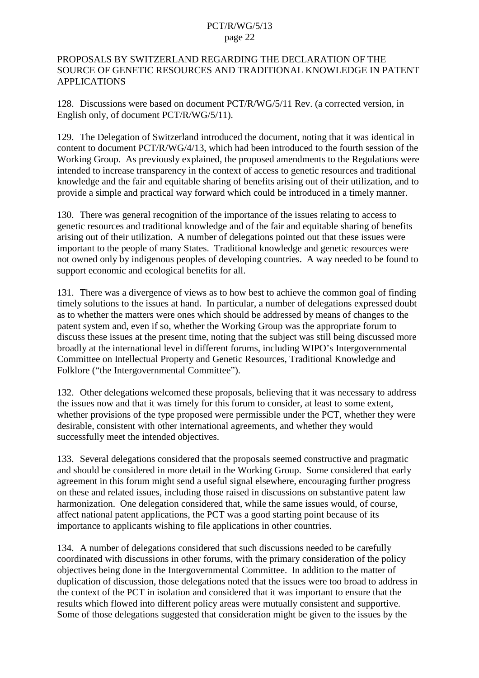#### PROPOSALS BY SWITZERLAND REGARDING THE DECLARATION OF THE SOURCE OF GENETIC RESOURCES AND TRADITIONAL KNOWLEDGE IN PATENT APPLICATIONS

128. Discussions were based on document PCT/R/WG/5/11 Rev. (a corrected version, in English only, of document PCT/R/WG/5/11).

129. The Delegation of Switzerland introduced the document, noting that it was identical in content to document PCT/R/WG/4/13, which had been introduced to the fourth session of the Working Group. As previously explained, the proposed amendments to the Regulations were intended to increase transparency in the context of access to genetic resources and traditional knowledge and the fair and equitable sharing of benefits arising out of their utilization, and to provide a simple and practical way forward which could be introduced in a timely manner.

130. There was general recognition of the importance of the issues relating to access to genetic resources and traditional knowledge and of the fair and equitable sharing of benefits arising out of their utilization. A number of delegations pointed out that these issues were important to the people of many States. Traditional knowledge and genetic resources were not owned only by indigenous peoples of developing countries. A way needed to be found to support economic and ecological benefits for all.

131. There was a divergence of views as to how best to achieve the common goal of finding timely solutions to the issues at hand. In particular, a number of delegations expressed doubt as to whether the matters were ones which should be addressed by means of changes to the patent system and, even if so, whether the Working Group was the appropriate forum to discuss these issues at the present time, noting that the subject was still being discussed more broadly at the international level in different forums, including WIPO's Intergovernmental Committee on Intellectual Property and Genetic Resources, Traditional Knowledge and Folklore ("the Intergovernmental Committee").

132. Other delegations welcomed these proposals, believing that it was necessary to address the issues now and that it was timely for this forum to consider, at least to some extent, whether provisions of the type proposed were permissible under the PCT, whether they were desirable, consistent with other international agreements, and whether they would successfully meet the intended objectives.

133. Several delegations considered that the proposals seemed constructive and pragmatic and should be considered in more detail in the Working Group. Some considered that early agreement in this forum might send a useful signal elsewhere, encouraging further progress on these and related issues, including those raised in discussions on substantive patent law harmonization. One delegation considered that, while the same issues would, of course, affect national patent applications, the PCT was a good starting point because of its importance to applicants wishing to file applications in other countries.

134. A number of delegations considered that such discussions needed to be carefully coordinated with discussions in other forums, with the primary consideration of the policy objectives being done in the Intergovernmental Committee. In addition to the matter of duplication of discussion, those delegations noted that the issues were too broad to address in the context of the PCT in isolation and considered that it was important to ensure that the results which flowed into different policy areas were mutually consistent and supportive. Some of those delegations suggested that consideration might be given to the issues by the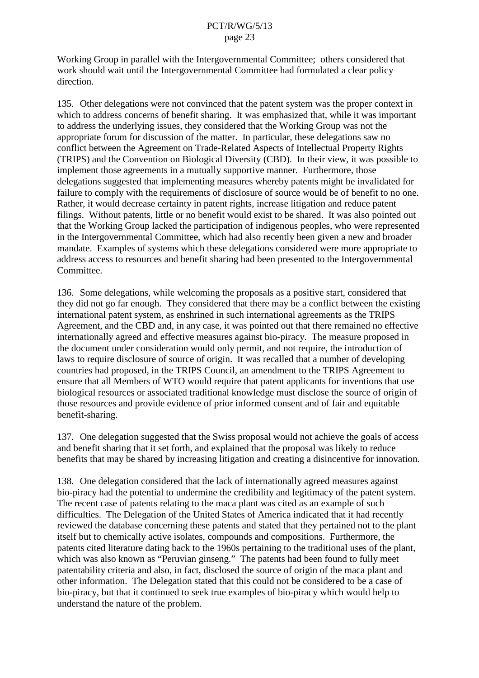Working Group in parallel with the Intergovernmental Committee; others considered that work should wait until the Intergovernmental Committee had formulated a clear policy direction.

135. Other delegations were not convinced that the patent system was the proper context in which to address concerns of benefit sharing. It was emphasized that, while it was important to address the underlying issues, they considered that the Working Group was not the appropriate forum for discussion of the matter. In particular, these delegations saw no conflict between the Agreement on Trade-Related Aspects of Intellectual Property Rights (TRIPS) and the Convention on Biological Diversity (CBD). In their view, it was possible to implement those agreements in a mutually supportive manner. Furthermore, those delegations suggested that implementing measures whereby patents might be invalidated for failure to comply with the requirements of disclosure of source would be of benefit to no one. Rather, it would decrease certainty in patent rights, increase litigation and reduce patent filings. Without patents, little or no benefit would exist to be shared. It was also pointed out that the Working Group lacked the participation of indigenous peoples, who were represented in the Intergovernmental Committee, which had also recently been given a new and broader mandate. Examples of systems which these delegations considered were more appropriate to address access to resources and benefit sharing had been presented to the Intergovernmental Committee.

136. Some delegations, while welcoming the proposals as a positive start, considered that they did not go far enough. They considered that there may be a conflict between the existing international patent system, as enshrined in such international agreements as the TRIPS Agreement, and the CBD and, in any case, it was pointed out that there remained no effective internationally agreed and effective measures against bio-piracy. The measure proposed in the document under consideration would only permit, and not require, the introduction of laws to require disclosure of source of origin. It was recalled that a number of developing countries had proposed, in the TRIPS Council, an amendment to the TRIPS Agreement to ensure that all Members of WTO would require that patent applicants for inventions that use biological resources or associated traditional knowledge must disclose the source of origin of those resources and provide evidence of prior informed consent and of fair and equitable benefit-sharing.

137. One delegation suggested that the Swiss proposal would not achieve the goals of access and benefit sharing that it set forth, and explained that the proposal was likely to reduce benefits that may be shared by increasing litigation and creating a disincentive for innovation.

138. One delegation considered that the lack of internationally agreed measures against bio-piracy had the potential to undermine the credibility and legitimacy of the patent system. The recent case of patents relating to the maca plant was cited as an example of such difficulties. The Delegation of the United States of America indicated that it had recently reviewed the database concerning these patents and stated that they pertained not to the plant itself but to chemically active isolates, compounds and compositions. Furthermore, the patents cited literature dating back to the 1960s pertaining to the traditional uses of the plant, which was also known as "Peruvian ginseng." The patents had been found to fully meet patentability criteria and also, in fact, disclosed the source of origin of the maca plant and other information. The Delegation stated that this could not be considered to be a case of bio-piracy, but that it continued to seek true examples of bio-piracy which would help to understand the nature of the problem.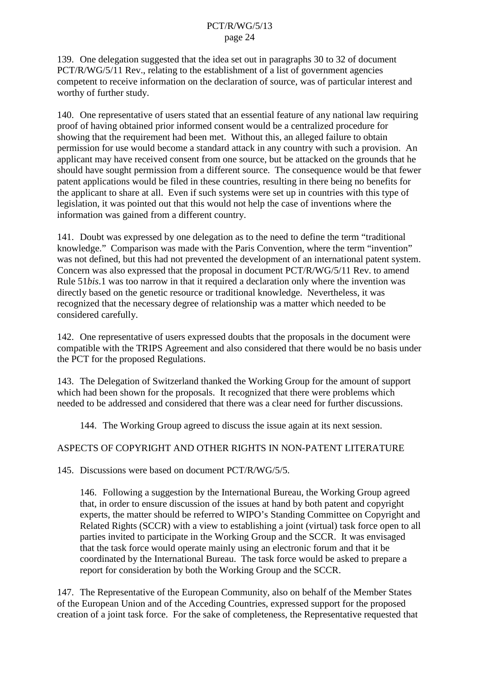139. One delegation suggested that the idea set out in paragraphs 30 to 32 of document PCT/R/WG/5/11 Rev., relating to the establishment of a list of government agencies competent to receive information on the declaration of source, was of particular interest and worthy of further study.

140. One representative of users stated that an essential feature of any national law requiring proof of having obtained prior informed consent would be a centralized procedure for showing that the requirement had been met. Without this, an alleged failure to obtain permission for use would become a standard attack in any country with such a provision. An applicant may have received consent from one source, but be attacked on the grounds that he should have sought permission from a different source. The consequence would be that fewer patent applications would be filed in these countries, resulting in there being no benefits for the applicant to share at all. Even if such systems were set up in countries with this type of legislation, it was pointed out that this would not help the case of inventions where the information was gained from a different country.

141. Doubt was expressed by one delegation as to the need to define the term "traditional knowledge." Comparison was made with the Paris Convention, where the term "invention" was not defined, but this had not prevented the development of an international patent system. Concern was also expressed that the proposal in document PCT/R/WG/5/11 Rev. to amend Rule 51*bis*.1 was too narrow in that it required a declaration only where the invention was directly based on the genetic resource or traditional knowledge. Nevertheless, it was recognized that the necessary degree of relationship was a matter which needed to be considered carefully.

142. One representative of users expressed doubts that the proposals in the document were compatible with the TRIPS Agreement and also considered that there would be no basis under the PCT for the proposed Regulations.

143. The Delegation of Switzerland thanked the Working Group for the amount of support which had been shown for the proposals. It recognized that there were problems which needed to be addressed and considered that there was a clear need for further discussions.

144. The Working Group agreed to discuss the issue again at its next session.

## ASPECTS OF COPYRIGHT AND OTHER RIGHTS IN NON-PATENT LITERATURE

145. Discussions were based on document PCT/R/WG/5/5.

146. Following a suggestion by the International Bureau, the Working Group agreed that, in order to ensure discussion of the issues at hand by both patent and copyright experts, the matter should be referred to WIPO's Standing Committee on Copyright and Related Rights (SCCR) with a view to establishing a joint (virtual) task force open to all parties invited to participate in the Working Group and the SCCR. It was envisaged that the task force would operate mainly using an electronic forum and that it be coordinated by the International Bureau. The task force would be asked to prepare a report for consideration by both the Working Group and the SCCR.

147. The Representative of the European Community, also on behalf of the Member States of the European Union and of the Acceding Countries, expressed support for the proposed creation of a joint task force. For the sake of completeness, the Representative requested that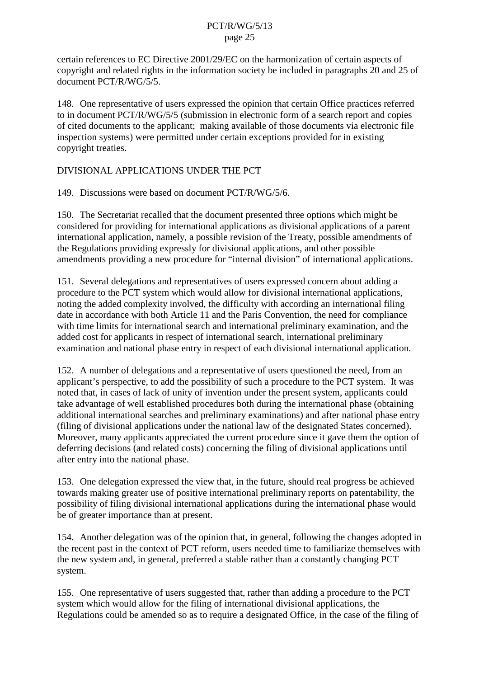certain references to EC Directive 2001/29/EC on the harmonization of certain aspects of copyright and related rights in the information society be included in paragraphs 20 and 25 of document PCT/R/WG/5/5.

148. One representative of users expressed the opinion that certain Office practices referred to in document PCT/R/WG/5/5 (submission in electronic form of a search report and copies of cited documents to the applicant; making available of those documents via electronic file inspection systems) were permitted under certain exceptions provided for in existing copyright treaties.

## DIVISIONAL APPLICATIONS UNDER THE PCT

149. Discussions were based on document PCT/R/WG/5/6.

150. The Secretariat recalled that the document presented three options which might be considered for providing for international applications as divisional applications of a parent international application, namely, a possible revision of the Treaty, possible amendments of the Regulations providing expressly for divisional applications, and other possible amendments providing a new procedure for "internal division" of international applications.

151. Several delegations and representatives of users expressed concern about adding a procedure to the PCT system which would allow for divisional international applications, noting the added complexity involved, the difficulty with according an international filing date in accordance with both Article 11 and the Paris Convention, the need for compliance with time limits for international search and international preliminary examination, and the added cost for applicants in respect of international search, international preliminary examination and national phase entry in respect of each divisional international application.

152. A number of delegations and a representative of users questioned the need, from an applicant's perspective, to add the possibility of such a procedure to the PCT system. It was noted that, in cases of lack of unity of invention under the present system, applicants could take advantage of well established procedures both during the international phase (obtaining additional international searches and preliminary examinations) and after national phase entry (filing of divisional applications under the national law of the designated States concerned). Moreover, many applicants appreciated the current procedure since it gave them the option of deferring decisions (and related costs) concerning the filing of divisional applications until after entry into the national phase.

153. One delegation expressed the view that, in the future, should real progress be achieved towards making greater use of positive international preliminary reports on patentability, the possibility of filing divisional international applications during the international phase would be of greater importance than at present.

154. Another delegation was of the opinion that, in general, following the changes adopted in the recent past in the context of PCT reform, users needed time to familiarize themselves with the new system and, in general, preferred a stable rather than a constantly changing PCT system.

155. One representative of users suggested that, rather than adding a procedure to the PCT system which would allow for the filing of international divisional applications, the Regulations could be amended so as to require a designated Office, in the case of the filing of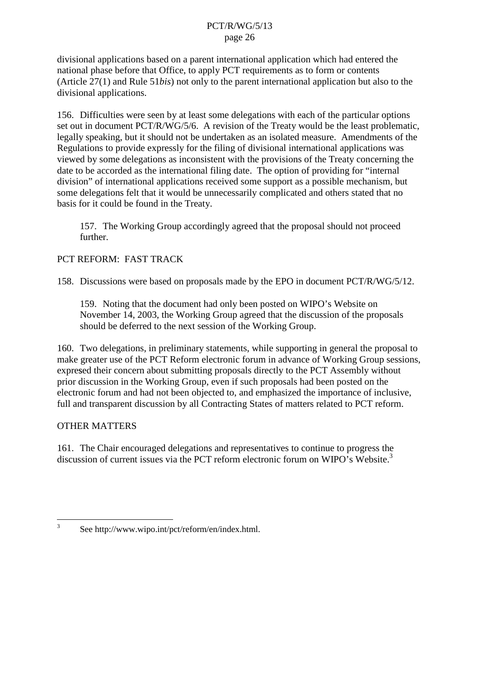divisional applications based on a parent international application which had entered the national phase before that Office, to apply PCT requirements as to form or contents (Article 27(1) and Rule 51*bis*) not only to the parent international application but also to the divisional applications.

156. Difficulties were seen by at least some delegations with each of the particular options set out in document PCT/R/WG/5/6. A revision of the Treaty would be the least problematic, legally speaking, but it should not be undertaken as an isolated measure. Amendments of the Regulations to provide expressly for the filing of divisional international applications was viewed by some delegations as inconsistent with the provisions of the Treaty concerning the date to be accorded as the international filing date. The option of providing for "internal division" of international applications received some support as a possible mechanism, but some delegations felt that it would be unnecessarily complicated and others stated that no basis for it could be found in the Treaty.

157. The Working Group accordingly agreed that the proposal should not proceed further.

# PCT REFORM: FAST TRACK

158. Discussions were based on proposals made by the EPO in document PCT/R/WG/5/12.

159. Noting that the document had only been posted on WIPO's Website on November 14, 2003, the Working Group agreed that the discussion of the proposals should be deferred to the next session of the Working Group.

160. Two delegations, in preliminary statements, while supporting in general the proposal to make greater use of the PCT Reform electronic forum in advance of Working Group sessions, expresed their concern about submitting proposals directly to the PCT Assembly without prior discussion in the Working Group, even if such proposals had been posted on the electronic forum and had not been objected to, and emphasized the importance of inclusive, full and transparent discussion by all Contracting States of matters related to PCT reform.

## OTHER MATTERS

161. The Chair encouraged delegations and representatives to continue to progress the discussion of current issues via the PCT reform electronic forum on WIPO's Website.<sup>3</sup>

<sup>3</sup> See http://www.wipo.int/pct/reform/en/index.html.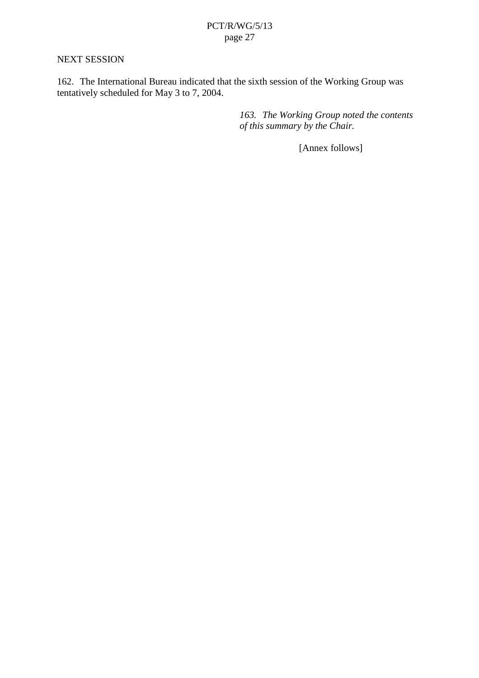#### NEXT SESSION

162. The International Bureau indicated that the sixth session of the Working Group was tentatively scheduled for May 3 to 7, 2004.

> *163. The Working Group noted the contents of this summary by the Chair.*

> > [Annex follows]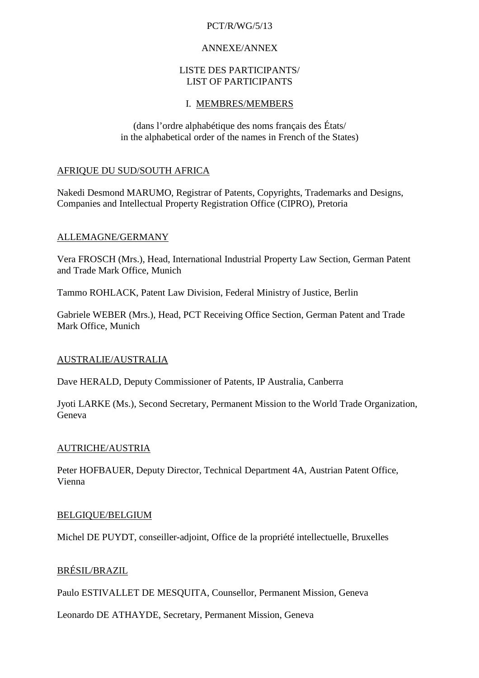## PCT/R/WG/5/13

## ANNEXE/ANNEX

#### LISTE DES PARTICIPANTS/ LIST OF PARTICIPANTS

# I. MEMBRES/MEMBERS

(dans l'ordre alphabétique des noms français des États/ in the alphabetical order of the names in French of the States)

## AFRIQUE DU SUD/SOUTH AFRICA

Nakedi Desmond MARUMO, Registrar of Patents, Copyrights, Trademarks and Designs, Companies and Intellectual Property Registration Office (CIPRO), Pretoria

# ALLEMAGNE/GERMANY

Vera FROSCH (Mrs.), Head, International Industrial Property Law Section, German Patent and Trade Mark Office, Munich

Tammo ROHLACK, Patent Law Division, Federal Ministry of Justice, Berlin

Gabriele WEBER (Mrs.), Head, PCT Receiving Office Section, German Patent and Trade Mark Office, Munich

## AUSTRALIE/AUSTRALIA

Dave HERALD, Deputy Commissioner of Patents, IP Australia, Canberra

Jyoti LARKE (Ms.), Second Secretary, Permanent Mission to the World Trade Organization, Geneva

## AUTRICHE/AUSTRIA

Peter HOFBAUER, Deputy Director, Technical Department 4A, Austrian Patent Office, Vienna

## BELGIQUE/BELGIUM

Michel DE PUYDT, conseiller-adjoint, Office de la propriété intellectuelle, Bruxelles

## BRÉSIL/BRAZIL

Paulo ESTIVALLET DE MESQUITA, Counsellor, Permanent Mission, Geneva

Leonardo DE ATHAYDE, Secretary, Permanent Mission, Geneva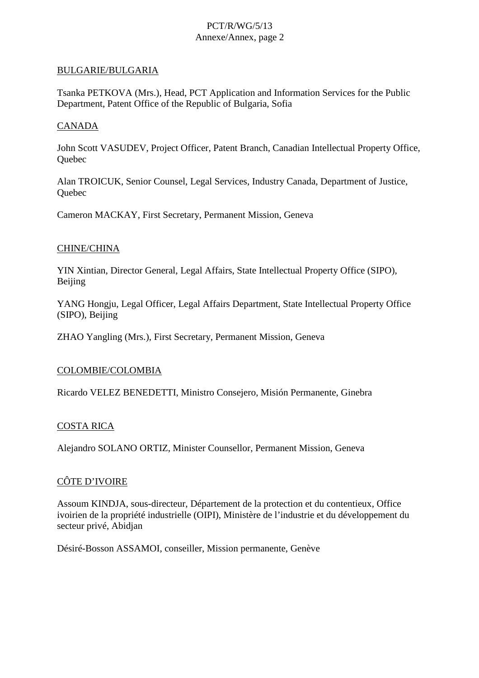#### BULGARIE/BULGARIA

Tsanka PETKOVA (Mrs.), Head, PCT Application and Information Services for the Public Department, Patent Office of the Republic of Bulgaria, Sofia

#### CANADA

John Scott VASUDEV, Project Officer, Patent Branch, Canadian Intellectual Property Office, **Ouebec** 

Alan TROICUK, Senior Counsel, Legal Services, Industry Canada, Department of Justice, **Ouebec** 

Cameron MACKAY, First Secretary, Permanent Mission, Geneva

#### CHINE/CHINA

YIN Xintian, Director General, Legal Affairs, State Intellectual Property Office (SIPO), Beijing

YANG Hongju, Legal Officer, Legal Affairs Department, State Intellectual Property Office (SIPO), Beijing

ZHAO Yangling (Mrs.), First Secretary, Permanent Mission, Geneva

#### COLOMBIE/COLOMBIA

Ricardo VELEZ BENEDETTI, Ministro Consejero, Misión Permanente, Ginebra

#### COSTA RICA

Alejandro SOLANO ORTIZ, Minister Counsellor, Permanent Mission, Geneva

## CÔTE D'IVOIRE

Assoum KINDJA, sous-directeur, Département de la protection et du contentieux, Office ivoirien de la propriété industrielle (OIPI), Ministère de l'industrie et du développement du secteur privé, Abidjan

Désiré-Bosson ASSAMOI, conseiller, Mission permanente, Genève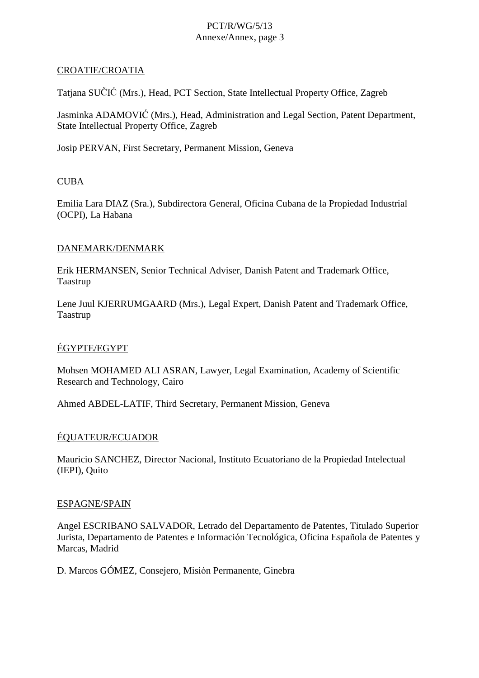#### CROATIE/CROATIA

Tatjana SUČIĆ (Mrs.), Head, PCT Section, State Intellectual Property Office, Zagreb

Jasminka ADAMOVIĆ (Mrs.), Head, Administration and Legal Section, Patent Department, State Intellectual Property Office, Zagreb

Josip PERVAN, First Secretary, Permanent Mission, Geneva

## CUBA

Emilia Lara DIAZ (Sra.), Subdirectora General, Oficina Cubana de la Propiedad Industrial (OCPI), La Habana

#### DANEMARK/DENMARK

Erik HERMANSEN, Senior Technical Adviser, Danish Patent and Trademark Office, Taastrup

Lene Juul KJERRUMGAARD (Mrs.), Legal Expert, Danish Patent and Trademark Office, Taastrup

## ÉGYPTE/EGYPT

Mohsen MOHAMED ALI ASRAN, Lawyer, Legal Examination, Academy of Scientific Research and Technology, Cairo

Ahmed ABDEL-LATIF, Third Secretary, Permanent Mission, Geneva

## ÉQUATEUR/ECUADOR

Mauricio SANCHEZ, Director Nacional, Instituto Ecuatoriano de la Propiedad Intelectual (IEPI), Quito

#### ESPAGNE/SPAIN

Angel ESCRIBANO SALVADOR, Letrado del Departamento de Patentes, Titulado Superior Jurista, Departamento de Patentes e Información Tecnológica, Oficina Española de Patentes y Marcas, Madrid

D. Marcos GÓMEZ, Consejero, Misión Permanente, Ginebra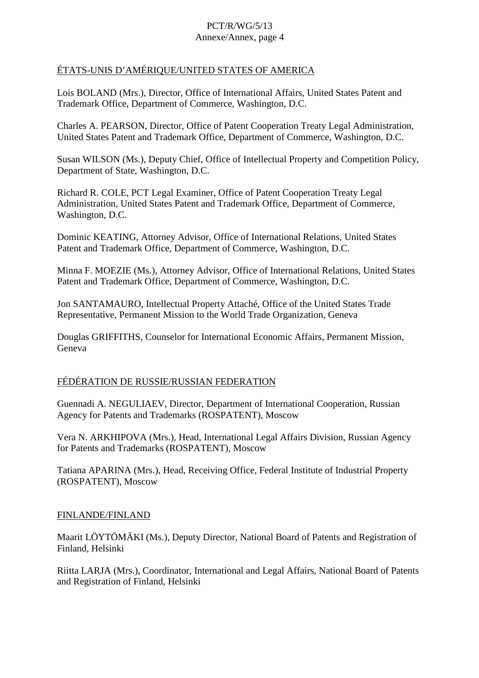# ÉTATS-UNIS D'AMÉRIQUE/UNITED STATES OF AMERICA

Lois BOLAND (Mrs.), Director, Office of International Affairs, United States Patent and Trademark Office, Department of Commerce, Washington, D.C.

Charles A. PEARSON, Director, Office of Patent Cooperation Treaty Legal Administration, United States Patent and Trademark Office, Department of Commerce, Washington, D.C.

Susan WILSON (Ms.), Deputy Chief, Office of Intellectual Property and Competition Policy, Department of State, Washington, D.C.

Richard R. COLE, PCT Legal Examiner, Office of Patent Cooperation Treaty Legal Administration, United States Patent and Trademark Office, Department of Commerce, Washington, D.C.

Dominic KEATING, Attorney Advisor, Office of International Relations, United States Patent and Trademark Office, Department of Commerce, Washington, D.C.

Minna F. MOEZIE (Ms.), Attorney Advisor, Office of International Relations, United States Patent and Trademark Office, Department of Commerce, Washington, D.C.

Jon SANTAMAURO, Intellectual Property Attaché, Office of the United States Trade Representative, Permanent Mission to the World Trade Organization, Geneva

Douglas GRIFFITHS, Counselor for International Economic Affairs, Permanent Mission, Geneva

## FÉDÉRATION DE RUSSIE/RUSSIAN FEDERATION

Guennadi A. NEGULIAEV, Director, Department of International Cooperation, Russian Agency for Patents and Trademarks (ROSPATENT), Moscow

Vera N. ARKHIPOVA (Mrs.), Head, International Legal Affairs Division, Russian Agency for Patents and Trademarks (ROSPATENT), Moscow

Tatiana APARINA (Mrs.), Head, Receiving Office, Federal Institute of Industrial Property (ROSPATENT), Moscow

## FINLANDE/FINLAND

Maarit LÖYTÖMÄKI (Ms.), Deputy Director, National Board of Patents and Registration of Finland, Helsinki

Riitta LARJA (Mrs.), Coordinator, International and Legal Affairs, National Board of Patents and Registration of Finland, Helsinki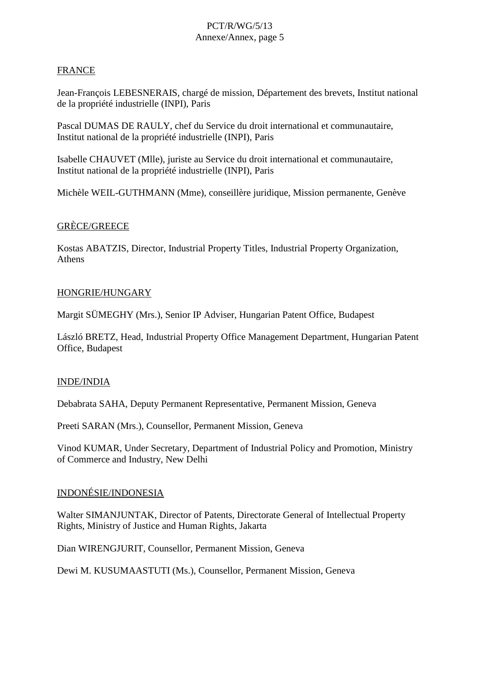#### FRANCE

Jean-François LEBESNERAIS, chargé de mission, Département des brevets, Institut national de la propriété industrielle (INPI), Paris

Pascal DUMAS DE RAULY, chef du Service du droit international et communautaire, Institut national de la propriété industrielle (INPI), Paris

Isabelle CHAUVET (Mlle), juriste au Service du droit international et communautaire, Institut national de la propriété industrielle (INPI), Paris

Michèle WEIL-GUTHMANN (Mme), conseillère juridique, Mission permanente, Genève

#### GRÈCE/GREECE

Kostas ABATZIS, Director, Industrial Property Titles, Industrial Property Organization, Athens

#### HONGRIE/HUNGARY

Margit SÜMEGHY (Mrs.), Senior IP Adviser, Hungarian Patent Office, Budapest

László BRETZ, Head, Industrial Property Office Management Department, Hungarian Patent Office, Budapest

## INDE/INDIA

Debabrata SAHA, Deputy Permanent Representative, Permanent Mission, Geneva

Preeti SARAN (Mrs.), Counsellor, Permanent Mission, Geneva

Vinod KUMAR, Under Secretary, Department of Industrial Policy and Promotion, Ministry of Commerce and Industry, New Delhi

## INDONÉSIE/INDONESIA

Walter SIMANJUNTAK, Director of Patents, Directorate General of Intellectual Property Rights, Ministry of Justice and Human Rights, Jakarta

Dian WIRENGJURIT, Counsellor, Permanent Mission, Geneva

Dewi M. KUSUMAASTUTI (Ms.), Counsellor, Permanent Mission, Geneva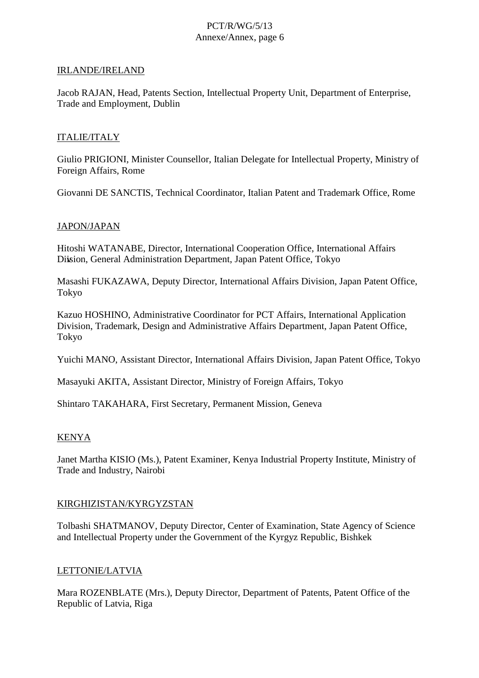#### IRLANDE/IRELAND

Jacob RAJAN, Head, Patents Section, Intellectual Property Unit, Department of Enterprise, Trade and Employment, Dublin

#### ITALIE/ITALY

Giulio PRIGIONI, Minister Counsellor, Italian Delegate for Intellectual Property, Ministry of Foreign Affairs, Rome

Giovanni DE SANCTIS, Technical Coordinator, Italian Patent and Trademark Office, Rome

#### JAPON/JAPAN

Hitoshi WATANABE, Director, International Cooperation Office, International Affairs Division, General Administration Department, Japan Patent Office, Tokyo

Masashi FUKAZAWA, Deputy Director, International Affairs Division, Japan Patent Office, Tokyo

Kazuo HOSHINO, Administrative Coordinator for PCT Affairs, International Application Division, Trademark, Design and Administrative Affairs Department, Japan Patent Office, Tokyo

Yuichi MANO, Assistant Director, International Affairs Division, Japan Patent Office, Tokyo

Masayuki AKITA, Assistant Director, Ministry of Foreign Affairs, Tokyo

Shintaro TAKAHARA, First Secretary, Permanent Mission, Geneva

#### KENYA

Janet Martha KISIO (Ms.), Patent Examiner, Kenya Industrial Property Institute, Ministry of Trade and Industry, Nairobi

#### KIRGHIZISTAN/KYRGYZSTAN

Tolbashi SHATMANOV, Deputy Director, Center of Examination, State Agency of Science and Intellectual Property under the Government of the Kyrgyz Republic, Bishkek

#### LETTONIE/LATVIA

Mara ROZENBLATE (Mrs.), Deputy Director, Department of Patents, Patent Office of the Republic of Latvia, Riga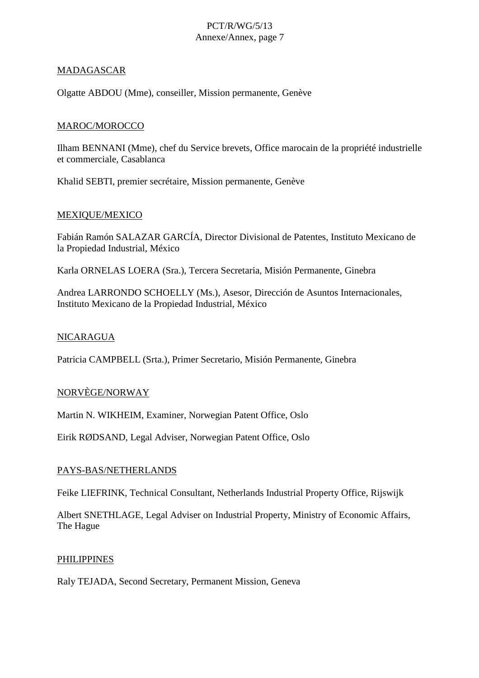## MADAGASCAR

Olgatte ABDOU (Mme), conseiller, Mission permanente, Genève

#### MAROC/MOROCCO

Ilham BENNANI (Mme), chef du Service brevets, Office marocain de la propriété industrielle et commerciale, Casablanca

Khalid SEBTI, premier secrétaire, Mission permanente, Genève

#### MEXIQUE/MEXICO

Fabián Ramón SALAZAR GARCÍA, Director Divisional de Patentes, Instituto Mexicano de la Propiedad Industrial, México

Karla ORNELAS LOERA (Sra.), Tercera Secretaria, Misión Permanente, Ginebra

Andrea LARRONDO SCHOELLY (Ms.), Asesor, Dirección de Asuntos Internacionales, Instituto Mexicano de la Propiedad Industrial, México

#### NICARAGUA

Patricia CAMPBELL (Srta.), Primer Secretario, Misión Permanente, Ginebra

#### NORVÈGE/NORWAY

Martin N. WIKHEIM, Examiner, Norwegian Patent Office, Oslo

Eirik RØDSAND, Legal Adviser, Norwegian Patent Office, Oslo

#### PAYS-BAS/NETHERLANDS

Feike LIEFRINK, Technical Consultant, Netherlands Industrial Property Office, Rijswijk

Albert SNETHLAGE, Legal Adviser on Industrial Property, Ministry of Economic Affairs, The Hague

#### PHILIPPINES

Raly TEJADA, Second Secretary, Permanent Mission, Geneva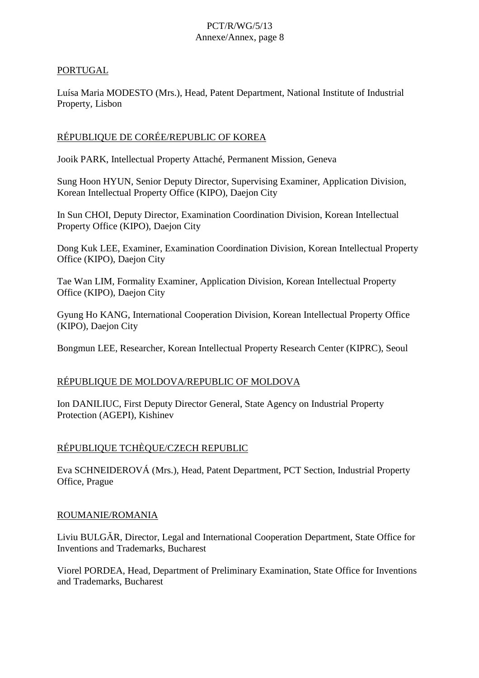## PORTUGAL

Luísa Maria MODESTO (Mrs.), Head, Patent Department, National Institute of Industrial Property, Lisbon

# RÉPUBLIQUE DE CORÉE/REPUBLIC OF KOREA

Jooik PARK, Intellectual Property Attaché, Permanent Mission, Geneva

Sung Hoon HYUN, Senior Deputy Director, Supervising Examiner, Application Division, Korean Intellectual Property Office (KIPO), Daejon City

In Sun CHOI, Deputy Director, Examination Coordination Division, Korean Intellectual Property Office (KIPO), Daejon City

Dong Kuk LEE, Examiner, Examination Coordination Division, Korean Intellectual Property Office (KIPO), Daejon City

Tae Wan LIM, Formality Examiner, Application Division, Korean Intellectual Property Office (KIPO), Daejon City

Gyung Ho KANG, International Cooperation Division, Korean Intellectual Property Office (KIPO), Daejon City

Bongmun LEE, Researcher, Korean Intellectual Property Research Center (KIPRC), Seoul

## RÉPUBLIQUE DE MOLDOVA/REPUBLIC OF MOLDOVA

Ion DANILIUC, First Deputy Director General, State Agency on Industrial Property Protection (AGEPI), Kishinev

## RÉPUBLIQUE TCHÈQUE/CZECH REPUBLIC

Eva SCHNEIDEROVÁ (Mrs.), Head, Patent Department, PCT Section, Industrial Property Office, Prague

## ROUMANIE/ROMANIA

Liviu BULGR, Director, Legal and International Cooperation Department, State Office for Inventions and Trademarks, Bucharest

Viorel PORDEA, Head, Department of Preliminary Examination, State Office for Inventions and Trademarks, Bucharest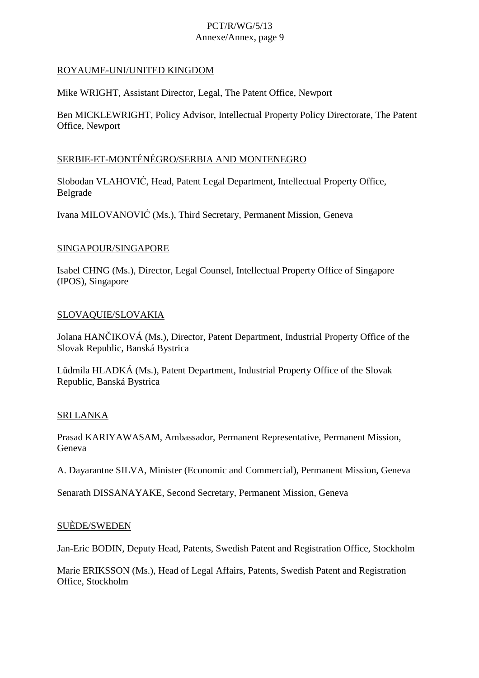## ROYAUME-UNI/UNITED KINGDOM

Mike WRIGHT, Assistant Director, Legal, The Patent Office, Newport

Ben MICKLEWRIGHT, Policy Advisor, Intellectual Property Policy Directorate, The Patent Office, Newport

### SERBIE-ET-MONTÉNÉGRO/SERBIA AND MONTENEGRO

Slobodan VLAHOVIĆ, Head, Patent Legal Department, Intellectual Property Office, Belgrade

Ivana MILOVANOVIĆ (Ms.), Third Secretary, Permanent Mission, Geneva

#### SINGAPOUR/SINGAPORE

Isabel CHNG (Ms.), Director, Legal Counsel, Intellectual Property Office of Singapore (IPOS), Singapore

#### SLOVAQUIE/SLOVAKIA

Jolana HANČIKOVÁ (Ms.), Director, Patent Department, Industrial Property Office of the Slovak Republic, Banská Bystrica

Lŭdmila HLADKÁ (Ms.), Patent Department, Industrial Property Office of the Slovak Republic, Banská Bystrica

## SRI LANKA

Prasad KARIYAWASAM, Ambassador, Permanent Representative, Permanent Mission, Geneva

A. Dayarantne SILVA, Minister (Economic and Commercial), Permanent Mission, Geneva

Senarath DISSANAYAKE, Second Secretary, Permanent Mission, Geneva

#### SUÈDE/SWEDEN

Jan-Eric BODIN, Deputy Head, Patents, Swedish Patent and Registration Office, Stockholm

Marie ERIKSSON (Ms.), Head of Legal Affairs, Patents, Swedish Patent and Registration Office, Stockholm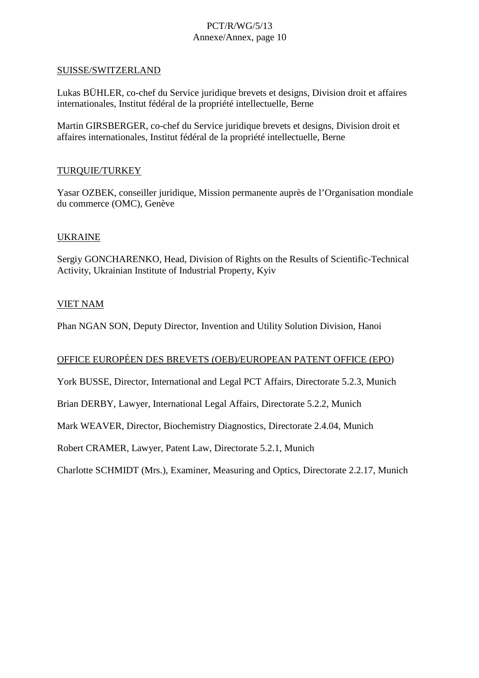#### SUISSE/SWITZERLAND

Lukas BÜHLER, co-chef du Service juridique brevets et designs, Division droit et affaires internationales, Institut fédéral de la propriété intellectuelle, Berne

Martin GIRSBERGER, co-chef du Service juridique brevets et designs, Division droit et affaires internationales, Institut fédéral de la propriété intellectuelle, Berne

#### TURQUIE/TURKEY

Yasar OZBEK, conseiller juridique, Mission permanente auprès de l'Organisation mondiale du commerce (OMC), Genève

#### UKRAINE

Sergiy GONCHARENKO, Head, Division of Rights on the Results of Scientific-Technical Activity, Ukrainian Institute of Industrial Property, Kyiv

#### VIET NAM

Phan NGAN SON, Deputy Director, Invention and Utility Solution Division, Hanoi

#### OFFICE EUROPÉEN DES BREVETS (OEB)/EUROPEAN PATENT OFFICE (EPO)

York BUSSE, Director, International and Legal PCT Affairs, Directorate 5.2.3, Munich

Brian DERBY, Lawyer, International Legal Affairs, Directorate 5.2.2, Munich

Mark WEAVER, Director, Biochemistry Diagnostics, Directorate 2.4.04, Munich

Robert CRAMER, Lawyer, Patent Law, Directorate 5.2.1, Munich

Charlotte SCHMIDT (Mrs.), Examiner, Measuring and Optics, Directorate 2.2.17, Munich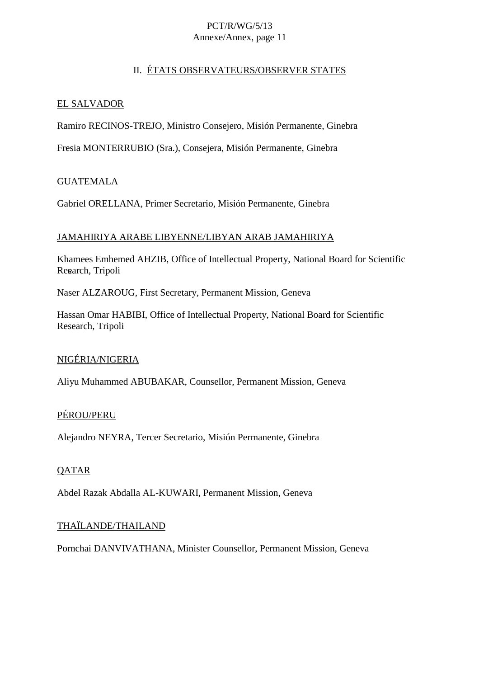# II. ÉTATS OBSERVATEURS/OBSERVER STATES

## EL SALVADOR

Ramiro RECINOS-TREJO, Ministro Consejero, Misión Permanente, Ginebra

Fresia MONTERRUBIO (Sra.), Consejera, Misión Permanente, Ginebra

# GUATEMALA

Gabriel ORELLANA, Primer Secretario, Misión Permanente, Ginebra

## JAMAHIRIYA ARABE LIBYENNE/LIBYAN ARAB JAMAHIRIYA

Khamees Emhemed AHZIB, Office of Intellectual Property, National Board for Scientific Resarch, Tripoli

Naser ALZAROUG, First Secretary, Permanent Mission, Geneva

Hassan Omar HABIBI, Office of Intellectual Property, National Board for Scientific Research, Tripoli

## NIGÉRIA/NIGERIA

Aliyu Muhammed ABUBAKAR, Counsellor, Permanent Mission, Geneva

## PÉROU/PERU

Alejandro NEYRA, Tercer Secretario, Misión Permanente, Ginebra

## **QATAR**

Abdel Razak Abdalla AL-KUWARI, Permanent Mission, Geneva

## THAÏLANDE/THAILAND

Pornchai DANVIVATHANA, Minister Counsellor, Permanent Mission, Geneva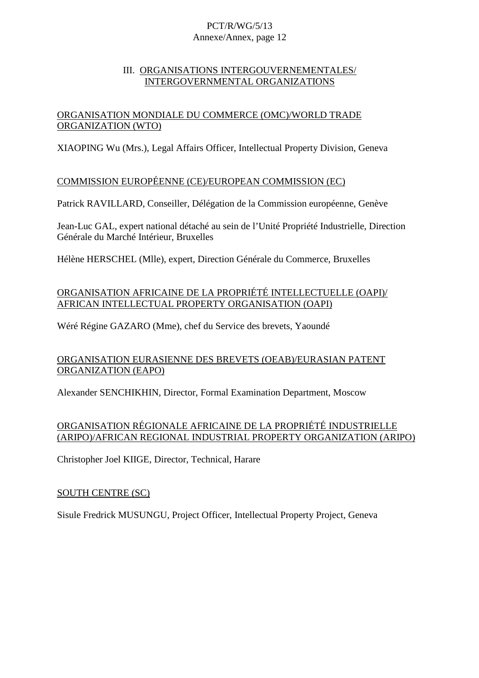### III. ORGANISATIONS INTERGOUVERNEMENTALES/ INTERGOVERNMENTAL ORGANIZATIONS

# ORGANISATION MONDIALE DU COMMERCE (OMC)/WORLD TRADE ORGANIZATION (WTO)

XIAOPING Wu (Mrs.), Legal Affairs Officer, Intellectual Property Division, Geneva

## COMMISSION EUROPÉENNE (CE)/EUROPEAN COMMISSION (EC)

Patrick RAVILLARD, Conseiller, Délégation de la Commission européenne, Genève

Jean-Luc GAL, expert national détaché au sein de l'Unité Propriété Industrielle, Direction Générale du Marché Intérieur, Bruxelles

Hélène HERSCHEL (Mlle), expert, Direction Générale du Commerce, Bruxelles

# ORGANISATION AFRICAINE DE LA PROPRIÉTÉ INTELLECTUELLE (OAPI)/ AFRICAN INTELLECTUAL PROPERTY ORGANISATION (OAPI)

Wéré Régine GAZARO (Mme), chef du Service des brevets, Yaoundé

# ORGANISATION EURASIENNE DES BREVETS (OEAB)/EURASIAN PATENT ORGANIZATION (EAPO)

Alexander SENCHIKHIN, Director, Formal Examination Department, Moscow

## ORGANISATION RÉGIONALE AFRICAINE DE LA PROPRIÉTÉ INDUSTRIELLE (ARIPO)/AFRICAN REGIONAL INDUSTRIAL PROPERTY ORGANIZATION (ARIPO)

Christopher Joel KIIGE, Director, Technical, Harare

## SOUTH CENTRE (SC)

Sisule Fredrick MUSUNGU, Project Officer, Intellectual Property Project, Geneva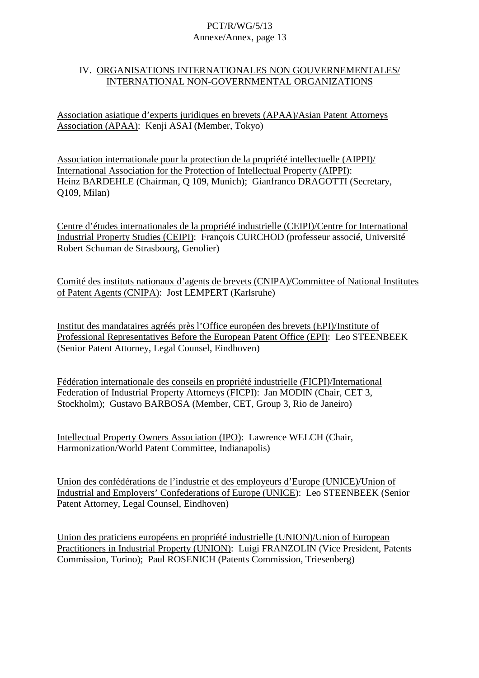#### IV. ORGANISATIONS INTERNATIONALES NON GOUVERNEMENTALES/ INTERNATIONAL NON-GOVERNMENTAL ORGANIZATIONS

Association asiatique d'experts juridiques en brevets (APAA)/Asian Patent Attorneys Association (APAA): Kenji ASAI (Member, Tokyo)

Association internationale pour la protection de la propriété intellectuelle (AIPPI)/ International Association for the Protection of Intellectual Property (AIPPI): Heinz BARDEHLE (Chairman, Q 109, Munich); Gianfranco DRAGOTTI (Secretary, Q109, Milan)

Centre d'études internationales de la propriété industrielle (CEIPI)/Centre for International Industrial Property Studies (CEIPI): François CURCHOD (professeur associé, Université Robert Schuman de Strasbourg, Genolier)

Comité des instituts nationaux d'agents de brevets (CNIPA)/Committee of National Institutes of Patent Agents (CNIPA): Jost LEMPERT (Karlsruhe)

Institut des mandataires agréés près l'Office européen des brevets (EPI)/Institute of Professional Representatives Before the European Patent Office (EPI): Leo STEENBEEK (Senior Patent Attorney, Legal Counsel, Eindhoven)

Fédération internationale des conseils en propriété industrielle (FICPI)/International Federation of Industrial Property Attorneys (FICPI): Jan MODIN (Chair, CET 3, Stockholm); Gustavo BARBOSA (Member, CET, Group 3, Rio de Janeiro)

Intellectual Property Owners Association (IPO): Lawrence WELCH (Chair, Harmonization/World Patent Committee, Indianapolis)

Union des confédérations de l'industrie et des employeurs d'Europe (UNICE)/Union of Industrial and Employers' Confederations of Europe (UNICE): Leo STEENBEEK (Senior Patent Attorney, Legal Counsel, Eindhoven)

Union des praticiens européens en propriété industrielle (UNION)/Union of European Practitioners in Industrial Property (UNION): Luigi FRANZOLIN (Vice President, Patents Commission, Torino); Paul ROSENICH (Patents Commission, Triesenberg)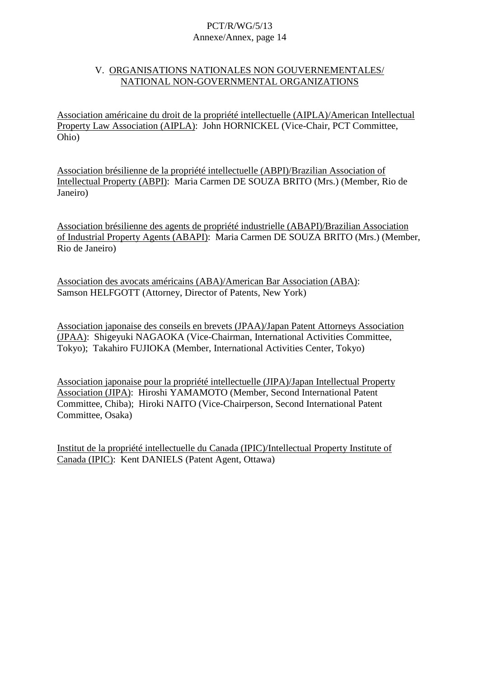### V. ORGANISATIONS NATIONALES NON GOUVERNEMENTALES/ NATIONAL NON-GOVERNMENTAL ORGANIZATIONS

Association américaine du droit de la propriété intellectuelle (AIPLA)/American Intellectual Property Law Association (AIPLA): John HORNICKEL (Vice-Chair, PCT Committee, Ohio)

Association brésilienne de la propriété intellectuelle (ABPI)/Brazilian Association of Intellectual Property (ABPI): Maria Carmen DE SOUZA BRITO (Mrs.) (Member, Rio de Janeiro)

Association brésilienne des agents de propriété industrielle (ABAPI)/Brazilian Association of Industrial Property Agents (ABAPI): Maria Carmen DE SOUZA BRITO (Mrs.) (Member, Rio de Janeiro)

Association des avocats américains (ABA)/American Bar Association (ABA): Samson HELFGOTT (Attorney, Director of Patents, New York)

Association japonaise des conseils en brevets (JPAA)/Japan Patent Attorneys Association (JPAA): Shigeyuki NAGAOKA (Vice-Chairman, International Activities Committee, Tokyo); Takahiro FUJIOKA (Member, International Activities Center, Tokyo)

Association japonaise pour la propriété intellectuelle (JIPA)/Japan Intellectual Property Association (JIPA): Hiroshi YAMAMOTO (Member, Second International Patent Committee, Chiba); Hiroki NAITO (Vice-Chairperson, Second International Patent Committee, Osaka)

Institut de la propriété intellectuelle du Canada (IPIC)/Intellectual Property Institute of Canada (IPIC): Kent DANIELS (Patent Agent, Ottawa)